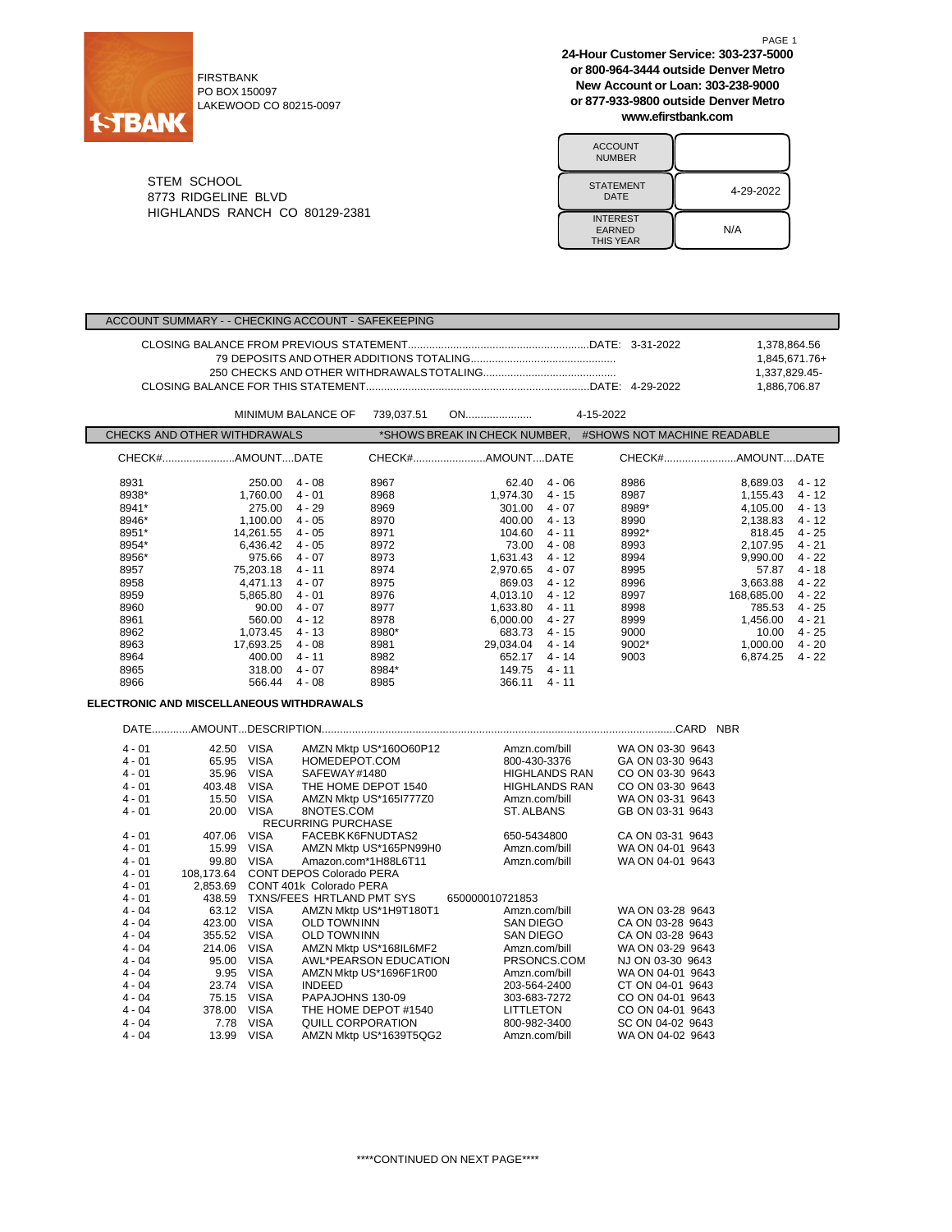

FIRSTBANK PO BOX 150097 LAKEWOOD CO 80215-0097 **24-Hour Customer Service: 303-237-5000 or 800-964-3444 outside Denver Metro New Account or Loan: 303-238-9000 or 877-933-9800 outside Denver Metro www.efirstbank.com**

PAGE 1

| <b>ACCOUNT</b><br><b>NUMBER</b>                      |           |
|------------------------------------------------------|-----------|
| <b>STATEMENT</b><br>DATE                             | 4-29-2022 |
| <b>INTEREST</b><br><b>EARNED</b><br><b>THIS YEAR</b> | N/A       |

STEM SCHOOL 8773 RIDGELINE BLVD HIGHLANDS RANCH CO 80129-2381

|                                                                                                                                                                                               |                              |                                                                                                                                                                                            | ACCOUNT SUMMARY - - CHECKING ACCOUNT - SAFEKEEPING                                                                                                                                         |                                                                                                                                        |                                                                                                                                                                                     |                                                                                                                                                                                                        |                      |                                                                                                                         |                                                                                                                                                                          |                                                                                                                                                                              |
|-----------------------------------------------------------------------------------------------------------------------------------------------------------------------------------------------|------------------------------|--------------------------------------------------------------------------------------------------------------------------------------------------------------------------------------------|--------------------------------------------------------------------------------------------------------------------------------------------------------------------------------------------|----------------------------------------------------------------------------------------------------------------------------------------|-------------------------------------------------------------------------------------------------------------------------------------------------------------------------------------|--------------------------------------------------------------------------------------------------------------------------------------------------------------------------------------------------------|----------------------|-------------------------------------------------------------------------------------------------------------------------|--------------------------------------------------------------------------------------------------------------------------------------------------------------------------|------------------------------------------------------------------------------------------------------------------------------------------------------------------------------|
|                                                                                                                                                                                               |                              |                                                                                                                                                                                            |                                                                                                                                                                                            |                                                                                                                                        |                                                                                                                                                                                     |                                                                                                                                                                                                        |                      |                                                                                                                         | 1,378,864.56<br>1,337,829.45-<br>1,886,706.87                                                                                                                            | 1,845,671.76+                                                                                                                                                                |
|                                                                                                                                                                                               |                              |                                                                                                                                                                                            | <b>MINIMUM BALANCE OF</b>                                                                                                                                                                  | 739,037.51                                                                                                                             | ON                                                                                                                                                                                  |                                                                                                                                                                                                        | 4-15-2022            |                                                                                                                         |                                                                                                                                                                          |                                                                                                                                                                              |
|                                                                                                                                                                                               | CHECKS AND OTHER WITHDRAWALS |                                                                                                                                                                                            |                                                                                                                                                                                            |                                                                                                                                        | *SHOWS BREAK IN CHECK NUMBER, #SHOWS NOT MACHINE READABLE                                                                                                                           |                                                                                                                                                                                                        |                      |                                                                                                                         |                                                                                                                                                                          |                                                                                                                                                                              |
|                                                                                                                                                                                               |                              |                                                                                                                                                                                            |                                                                                                                                                                                            |                                                                                                                                        |                                                                                                                                                                                     |                                                                                                                                                                                                        |                      |                                                                                                                         |                                                                                                                                                                          |                                                                                                                                                                              |
|                                                                                                                                                                                               |                              |                                                                                                                                                                                            |                                                                                                                                                                                            |                                                                                                                                        | CHECK#AMOUNTDATE                                                                                                                                                                    |                                                                                                                                                                                                        |                      |                                                                                                                         |                                                                                                                                                                          |                                                                                                                                                                              |
| 8931<br>8938*<br>8941*<br>8946*<br>8951*<br>8954*<br>8956*<br>8957<br>8958<br>8959<br>8960<br>8961<br>8962<br>8963<br>8964<br>8965<br>8966<br><b>ELECTRONIC AND MISCELLANEOUS WITHDRAWALS</b> |                              | 250.00<br>1,760.00<br>275.00<br>1,100.00<br>14,261.55<br>6,436.42<br>975.66<br>75,203.18<br>4,471.13<br>5,865.80<br>90.00<br>560.00<br>1,073.45<br>17,693.25<br>400.00<br>318.00<br>566.44 | 4 - 08<br>$4 - 01$<br>$4 - 29$<br>4 - 05<br>$4 - 05$<br>4 - 05<br>4 - 07<br>4 - 11<br>4 - 07<br>$4 - 01$<br>$4 - 07$<br>4 - 12<br>$4 - 13$<br>$4 - 08$<br>$4 - 11$<br>$4 - 07$<br>$4 - 08$ | 8967<br>8968<br>8969<br>8970<br>8971<br>8972<br>8973<br>8974<br>8975<br>8976<br>8977<br>8978<br>8980*<br>8981<br>8982<br>8984*<br>8985 | 62.40<br>1,974.30<br>301.00<br>400.00<br>104.60<br>73.00<br>1,631.43<br>2,970.65<br>869.03<br>4,013.10<br>1,633.80<br>6,000.00<br>683.73<br>29,034.04<br>652.17<br>149.75<br>366.11 | $4 - 06$<br>$4 - 15$<br>$4 - 07$<br>$4 - 13$<br>$4 - 11$<br>$4 - 08$<br>$4 - 12$<br>$4 - 07$<br>$4 - 12$<br>$4 - 12$<br>$4 - 11$<br>$4 - 27$<br>$4 - 15$<br>$4 - 14$<br>$4 - 14$<br>4 - 11<br>$4 - 11$ |                      | 8986<br>8987<br>8989*<br>8990<br>8992*<br>8993<br>8994<br>8995<br>8996<br>8997<br>8998<br>8999<br>9000<br>9002*<br>9003 | 8,689.03<br>1,155.43<br>4,105.00<br>2,138.83<br>818.45<br>2,107.95<br>9,990.00<br>57.87<br>3,663.88<br>168,685.00<br>785.53<br>1,456.00<br>10.00<br>1,000.00<br>6,874.25 | $4 - 12$<br>$4 - 12$<br>$4 - 13$<br>$4 - 12$<br>$4 - 25$<br>$4 - 21$<br>$4 - 22$<br>$4 - 18$<br>4 - 22<br>$4 - 22$<br>$4 - 25$<br>$4 - 21$<br>$4 - 25$<br>4 - 20<br>$4 - 22$ |
|                                                                                                                                                                                               |                              |                                                                                                                                                                                            |                                                                                                                                                                                            |                                                                                                                                        |                                                                                                                                                                                     |                                                                                                                                                                                                        |                      |                                                                                                                         |                                                                                                                                                                          |                                                                                                                                                                              |
|                                                                                                                                                                                               |                              |                                                                                                                                                                                            |                                                                                                                                                                                            |                                                                                                                                        |                                                                                                                                                                                     |                                                                                                                                                                                                        |                      |                                                                                                                         |                                                                                                                                                                          |                                                                                                                                                                              |
| $4 - 01$<br>$4 - 01$                                                                                                                                                                          | 42.50 VISA<br>65.95 VISA     |                                                                                                                                                                                            | HOMEDEPOT.COM                                                                                                                                                                              | AMZN Mktp US*160O60P12                                                                                                                 |                                                                                                                                                                                     | Amzn.com/bill<br>800-430-3376                                                                                                                                                                          |                      | WA ON 03-30 9643<br>GA ON 03-30 9643                                                                                    |                                                                                                                                                                          |                                                                                                                                                                              |
| $4 - 01$                                                                                                                                                                                      | 35.96 VISA                   |                                                                                                                                                                                            | SAFEWAY#1480                                                                                                                                                                               |                                                                                                                                        |                                                                                                                                                                                     |                                                                                                                                                                                                        | <b>HIGHLANDS RAN</b> | CO ON 03-30 9643                                                                                                        |                                                                                                                                                                          |                                                                                                                                                                              |
| $4 - 01$                                                                                                                                                                                      | 403.48                       | <b>VISA</b>                                                                                                                                                                                |                                                                                                                                                                                            | THE HOME DEPOT 1540                                                                                                                    |                                                                                                                                                                                     | <b>HIGHLANDS RAN</b>                                                                                                                                                                                   |                      | CO ON 03-30 9643                                                                                                        |                                                                                                                                                                          |                                                                                                                                                                              |
| $4 - 01$                                                                                                                                                                                      | 15.50                        | VISA                                                                                                                                                                                       |                                                                                                                                                                                            | AMZN Mktp US*165l777Z0                                                                                                                 |                                                                                                                                                                                     | Amzn.com/bill                                                                                                                                                                                          |                      | WA ON 03-31 9643                                                                                                        |                                                                                                                                                                          |                                                                                                                                                                              |
| $4 - 01$                                                                                                                                                                                      | 20.00                        | VISA                                                                                                                                                                                       | 8NOTES.COM                                                                                                                                                                                 |                                                                                                                                        |                                                                                                                                                                                     | ST. ALBANS                                                                                                                                                                                             |                      | GB ON 03-31 9643                                                                                                        |                                                                                                                                                                          |                                                                                                                                                                              |
|                                                                                                                                                                                               |                              |                                                                                                                                                                                            | <b>RECURRING PURCHASE</b>                                                                                                                                                                  |                                                                                                                                        |                                                                                                                                                                                     |                                                                                                                                                                                                        |                      |                                                                                                                         |                                                                                                                                                                          |                                                                                                                                                                              |
| $4 - 01$                                                                                                                                                                                      | 407.06                       | VISA                                                                                                                                                                                       | FACEBK K6FNUDTAS2                                                                                                                                                                          |                                                                                                                                        |                                                                                                                                                                                     | 650-5434800                                                                                                                                                                                            |                      | CA ON 03-31 9643                                                                                                        |                                                                                                                                                                          |                                                                                                                                                                              |
| $4 - 01$                                                                                                                                                                                      | 15.99                        | <b>VISA</b>                                                                                                                                                                                |                                                                                                                                                                                            | AMZN Mktp US*165PN99H0                                                                                                                 |                                                                                                                                                                                     | Amzn.com/bill                                                                                                                                                                                          |                      | WA ON 04-01 9643                                                                                                        |                                                                                                                                                                          |                                                                                                                                                                              |
| $4 - 01$                                                                                                                                                                                      | 99.80                        | <b>VISA</b>                                                                                                                                                                                |                                                                                                                                                                                            | Amazon.com*1H88L6T11                                                                                                                   |                                                                                                                                                                                     | Amzn.com/bill                                                                                                                                                                                          |                      | WA ON 04-01 9643                                                                                                        |                                                                                                                                                                          |                                                                                                                                                                              |
| $4 - 01$                                                                                                                                                                                      | 108,173.64                   |                                                                                                                                                                                            | CONT DEPOS Colorado PERA                                                                                                                                                                   |                                                                                                                                        |                                                                                                                                                                                     |                                                                                                                                                                                                        |                      |                                                                                                                         |                                                                                                                                                                          |                                                                                                                                                                              |
| $4 - 01$                                                                                                                                                                                      | 2,853.69                     |                                                                                                                                                                                            | CONT 401k Colorado PERA                                                                                                                                                                    |                                                                                                                                        |                                                                                                                                                                                     |                                                                                                                                                                                                        |                      |                                                                                                                         |                                                                                                                                                                          |                                                                                                                                                                              |
| $4 - 01$                                                                                                                                                                                      | 438.59                       |                                                                                                                                                                                            | TXNS/FEES HRTLAND PMT SYS                                                                                                                                                                  |                                                                                                                                        | 650000010721853                                                                                                                                                                     |                                                                                                                                                                                                        |                      |                                                                                                                         |                                                                                                                                                                          |                                                                                                                                                                              |
| $4 - 04$                                                                                                                                                                                      | 63.12 VISA                   |                                                                                                                                                                                            |                                                                                                                                                                                            | AMZN Mktp US*1H9T180T1                                                                                                                 |                                                                                                                                                                                     | Amzn.com/bill                                                                                                                                                                                          |                      | WA ON 03-28 9643                                                                                                        |                                                                                                                                                                          |                                                                                                                                                                              |
| $4 - 04$                                                                                                                                                                                      | 423.00 VISA                  |                                                                                                                                                                                            | <b>OLD TOWNINN</b>                                                                                                                                                                         |                                                                                                                                        |                                                                                                                                                                                     | <b>SAN DIEGO</b>                                                                                                                                                                                       |                      | CA ON 03-28 9643                                                                                                        |                                                                                                                                                                          |                                                                                                                                                                              |
| $4 - 04$                                                                                                                                                                                      | 355.52 VISA                  |                                                                                                                                                                                            | <b>OLD TOWNINN</b>                                                                                                                                                                         |                                                                                                                                        |                                                                                                                                                                                     | <b>SAN DIEGO</b>                                                                                                                                                                                       |                      | CA ON 03-28 9643                                                                                                        |                                                                                                                                                                          |                                                                                                                                                                              |
| $4 - 04$                                                                                                                                                                                      | 214.06 VISA                  |                                                                                                                                                                                            |                                                                                                                                                                                            | AMZN Mktp US*168IL6MF2                                                                                                                 |                                                                                                                                                                                     | Amzn.com/bill                                                                                                                                                                                          |                      | WA ON 03-29 9643                                                                                                        |                                                                                                                                                                          |                                                                                                                                                                              |
| $4 - 04$                                                                                                                                                                                      | 95.00 VISA                   |                                                                                                                                                                                            |                                                                                                                                                                                            | AWL*PEARSON EDUCATION                                                                                                                  |                                                                                                                                                                                     | PRSONCS.COM                                                                                                                                                                                            |                      | NJ ON 03-30 9643                                                                                                        |                                                                                                                                                                          |                                                                                                                                                                              |
| $4 - 04$                                                                                                                                                                                      | 9.95                         | <b>VISA</b>                                                                                                                                                                                |                                                                                                                                                                                            | AMZN Mktp US*1696F1R00                                                                                                                 |                                                                                                                                                                                     | Amzn.com/bill                                                                                                                                                                                          |                      | WA ON 04-01 9643                                                                                                        |                                                                                                                                                                          |                                                                                                                                                                              |
| $4 - 04$                                                                                                                                                                                      | 23.74 VISA                   |                                                                                                                                                                                            | <b>INDEED</b>                                                                                                                                                                              |                                                                                                                                        |                                                                                                                                                                                     | 203-564-2400                                                                                                                                                                                           |                      | CT ON 04-01 9643                                                                                                        |                                                                                                                                                                          |                                                                                                                                                                              |
| $4 - 04$                                                                                                                                                                                      | 75.15 VISA                   |                                                                                                                                                                                            | PAPAJOHNS 130-09                                                                                                                                                                           |                                                                                                                                        |                                                                                                                                                                                     | 303-683-7272                                                                                                                                                                                           |                      | CO ON 04-01 9643                                                                                                        |                                                                                                                                                                          |                                                                                                                                                                              |
| $4 - 04$                                                                                                                                                                                      | 378.00 VISA                  |                                                                                                                                                                                            |                                                                                                                                                                                            | THE HOME DEPOT #1540                                                                                                                   |                                                                                                                                                                                     | LITTLETON                                                                                                                                                                                              |                      | CO ON 04-01 9643                                                                                                        |                                                                                                                                                                          |                                                                                                                                                                              |
| $4 - 04$                                                                                                                                                                                      | 7.78                         | VISA                                                                                                                                                                                       | QUILL CORPORATION                                                                                                                                                                          |                                                                                                                                        |                                                                                                                                                                                     | 800-982-3400                                                                                                                                                                                           |                      | SC ON 04-02 9643                                                                                                        |                                                                                                                                                                          |                                                                                                                                                                              |
| $4 - 04$                                                                                                                                                                                      | 13.99 VISA                   |                                                                                                                                                                                            |                                                                                                                                                                                            | AMZN Mktp US*1639T5QG2                                                                                                                 |                                                                                                                                                                                     | Amzn.com/bill                                                                                                                                                                                          |                      | WA ON 04-02 9643                                                                                                        |                                                                                                                                                                          |                                                                                                                                                                              |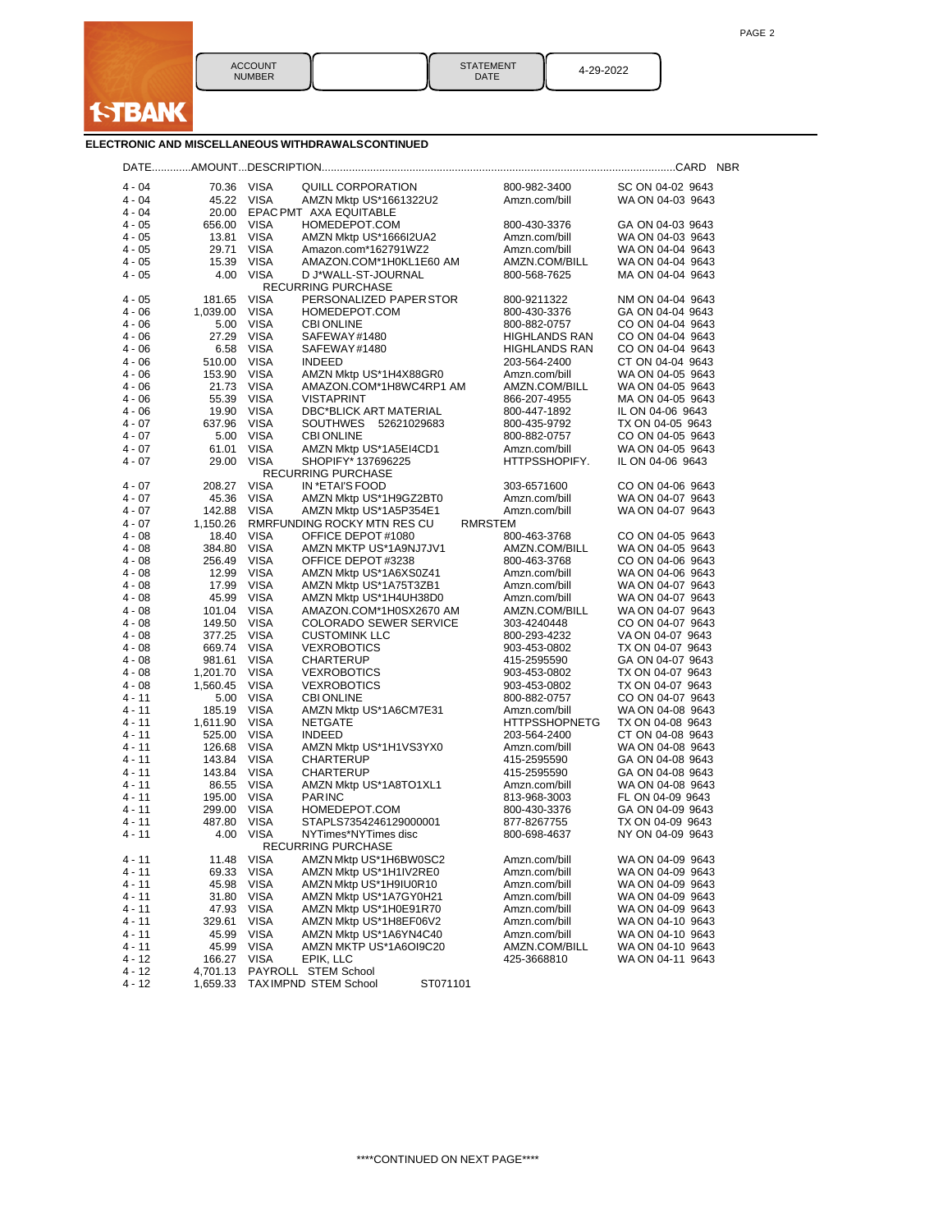

| <b>STATEMENT</b> |
|------------------|
| DATE             |

DATE 4-29-2022

**ELECTRONIC AND MISCELLANEOUS WITHDRAWALSCONTINUED**

| $4 - 04$             | 70.36 VISA       |                            | QUILL CORPORATION                                | 800-982-3400                   | SC ON 04-02 9643                     |
|----------------------|------------------|----------------------------|--------------------------------------------------|--------------------------------|--------------------------------------|
| $4 - 04$             | 45.22            | VISA                       | AMZN Mktp US*1661322U2                           | Amzn.com/bill                  | WA ON 04-03 9643                     |
| $4 - 04$             | 20.00            |                            | EPAC PMT AXA EQUITABLE                           |                                |                                      |
| $4 - 05$             | 656.00           | <b>VISA</b>                | HOMEDEPOT.COM                                    | 800-430-3376                   | GA ON 04-03 9643                     |
| $4 - 05$             | 13.81            | <b>VISA</b>                | AMZN Mktp US*1666I2UA2                           | Amzn.com/bill                  | WA ON 04-03 9643                     |
| $4 - 05$             | 29.71            | <b>VISA</b>                | Amazon.com*162791WZ2                             | Amzn.com/bill                  | WA ON 04-04 9643                     |
| $4 - 05$             | 15.39            | <b>VISA</b>                | AMAZON.COM*1H0KL1E60 AM                          | AMZN.COM/BILL                  | WA ON 04-04 9643                     |
| $4 - 05$             | 4.00             | VISA                       | D J*WALL-ST-JOURNAL                              | 800-568-7625                   | MA ON 04-04 9643                     |
|                      |                  |                            | <b>RECURRING PURCHASE</b>                        |                                |                                      |
| 4 - 05<br>$4 - 06$   | 181.65           | <b>VISA</b><br><b>VISA</b> | PERSONALIZED PAPER STOR                          | 800-9211322                    | NM ON 04-04 9643<br>GA ON 04-04 9643 |
| $4 - 06$             | 1,039.00<br>5.00 | <b>VISA</b>                | HOMEDEPOT.COM<br><b>CBI ONLINE</b>               | 800-430-3376<br>800-882-0757   | CO ON 04-04 9643                     |
| $4 - 06$             | 27.29            | <b>VISA</b>                | SAFEWAY#1480                                     | HIGHLANDS RAN                  | CO ON 04-04 9643                     |
| $4 - 06$             | 6.58             | VISA                       | SAFEWAY#1480                                     | HIGHLANDS RAN                  | CO ON 04-04 9643                     |
| $4 - 06$             | 510.00           | <b>VISA</b>                | <b>INDEED</b>                                    | 203-564-2400                   | CT ON 04-04 9643                     |
| $4 - 06$             | 153.90           | <b>VISA</b>                | AMZN Mktp US*1H4X88GR0                           | Amzn.com/bill                  | WA ON 04-05 9643                     |
| $4 - 06$             | 21.73            | VISA                       | AMAZON.COM*1H8WC4RP1 AM                          | AMZN.COM/BILL                  | WA ON 04-05 9643                     |
| $4 - 06$             | 55.39            | <b>VISA</b>                | <b>VISTAPRINT</b>                                | 866-207-4955                   | MA ON 04-05 9643                     |
| $4 - 06$             | 19.90            | <b>VISA</b>                | DBC*BLICK ART MATERIAL                           | 800-447-1892                   | IL ON 04-06 9643                     |
| $4 - 07$             | 637.96           | <b>VISA</b>                | SOUTHWES 52621029683                             | 800-435-9792                   | TX ON 04-05 9643                     |
| $4 - 07$             | 5.00             | <b>VISA</b>                | <b>CBI ONLINE</b>                                | 800-882-0757                   | CO ON 04-05 9643                     |
| $4 - 07$             | 61.01            | <b>VISA</b>                | AMZN Mktp US*1A5EI4CD1                           | Amzn.com/bill                  | WA ON 04-05 9643                     |
| $4 - 07$             | 29.00            | <b>VISA</b>                | SHOPIFY* 137696225<br><b>RECURRING PURCHASE</b>  | HTTPSSHOPIFY.                  | IL ON 04-06 9643                     |
| 4 - 07               | 208.27           | <b>VISA</b>                | IN *ETAI'S FOOD                                  | 303-6571600                    | CO ON 04-06 9643                     |
| $4 - 07$             | 45.36            | VISA                       | AMZN Mktp US*1H9GZ2BT0                           | Amzn.com/bill                  | WA ON 04-07 9643                     |
| $4 - 07$             | 142.88           | <b>VISA</b>                | AMZN Mktp US*1A5P354E1                           | Amzn.com/bill                  | WA ON 04-07 9643                     |
| $4 - 07$             | 1,150.26         |                            | RMRFUNDING ROCKY MTN RES CU                      | RMRSTEM                        |                                      |
| $4 - 08$             | 18.40            | VISA                       | OFFICE DEPOT #1080                               | 800-463-3768                   | CO ON 04-05 9643                     |
| $4 - 08$             | 384.80           | <b>VISA</b>                | AMZN MKTP US*1A9NJ7JV1                           | AMZN.COM/BILL                  | WA ON 04-05 9643                     |
| $4 - 08$             | 256.49           | <b>VISA</b>                | OFFICE DEPOT#3238                                | 800-463-3768                   | CO ON 04-06 9643                     |
| $4 - 08$             | 12.99            | VISA                       | AMZN Mktp US*1A6XS0Z41                           | Amzn.com/bill                  | WA ON 04-06 9643                     |
| $4 - 08$             | 17.99            | <b>VISA</b>                | AMZN Mktp US*1A75T3ZB1                           | Amzn.com/bill                  | WA ON 04-07 9643                     |
| $4 - 08$             | 45.99            | <b>VISA</b>                | AMZN Mktp US*1H4UH38D0                           | Amzn.com/bill                  | WA ON 04-07 9643                     |
| $4 - 08$             | 101.04           | <b>VISA</b>                | AMAZON.COM*1H0SX2670 AM                          | AMZN.COM/BILL                  | WA ON 04-07 9643                     |
| $4 - 08$<br>$4 - 08$ | 149.50           | <b>VISA</b><br><b>VISA</b> | <b>COLORADO SEWER SERVICE</b>                    | 303-4240448                    | CO ON 04-07 9643<br>VA ON 04-07 9643 |
| $4 - 08$             | 377.25<br>669.74 | <b>VISA</b>                | <b>CUSTOMINK LLC</b><br><b>VEXROBOTICS</b>       | 800-293-4232<br>903-453-0802   | TX ON 04-07 9643                     |
| $4 - 08$             | 981.61           | <b>VISA</b>                | <b>CHARTERUP</b>                                 | 415-2595590                    | GA ON 04-07 9643                     |
| $4 - 08$             | 1,201.70         | <b>VISA</b>                | <b>VEXROBOTICS</b>                               | 903-453-0802                   | TX ON 04-07 9643                     |
| $4 - 08$             | 1,560.45         | <b>VISA</b>                | <b>VEXROBOTICS</b>                               | 903-453-0802                   | TX ON 04-07 9643                     |
| $4 - 11$             | 5.00             | <b>VISA</b>                | <b>CBI ONLINE</b>                                | 800-882-0757                   | CO ON 04-07 9643                     |
| 4 - 11               | 185.19           | <b>VISA</b>                | AMZN Mktp US*1A6CM7E31                           | Amzn.com/bill                  | WA ON 04-08 9643                     |
| $4 - 11$             | 1,611.90         | VISA                       | NETGATE                                          | <b>HTTPSSHOPNETG</b>           | TX ON 04-08 9643                     |
| $4 - 11$             | 525.00           | <b>VISA</b>                | <b>INDEED</b>                                    | 203-564-2400                   | CT ON 04-08 9643                     |
| 4 - 11               | 126.68           | <b>VISA</b>                | AMZN Mktp US*1H1VS3YX0                           | Amzn.com/bill                  | WA ON 04-08 9643                     |
| $4 - 11$             | 143.84           | VISA                       | CHARTERUP                                        | 415-2595590                    | GA ON 04-08 9643                     |
| $4 - 11$<br>4 - 11   | 143.84<br>86.55  | <b>VISA</b><br><b>VISA</b> | <b>CHARTERUP</b><br>AMZN Mktp US*1A8TO1XL1       | 415-2595590<br>Amzn.com/bill   | GA ON 04-08 9643<br>WA ON 04-08 9643 |
| $4 - 11$             | 195.00           | VISA                       | <b>PARINC</b>                                    | 813-968-3003                   | FL ON 04-09 9643                     |
| $4 - 11$             | 299.00           | VISA                       | HOMEDEPOT.COM                                    | 800-430-3376                   | GA ON 04-09 9643                     |
| 4 - 11               | 487.80           | <b>VISA</b>                | STAPLS7354246129000001                           | 877-8267755                    | TX ON 04-09 9643                     |
| $4 - 11$             | 4.00             | <b>VISA</b>                | NYTimes*NYTimes disc                             | 800-698-4637                   | NY ON 04-09 9643                     |
|                      |                  |                            | <b>RECURRING PURCHASE</b>                        |                                |                                      |
| 4 - 11               | 11.48 VISA       |                            | AMZN Mktp US*1H6BW0SC2                           | Amzn.com/bill                  | WA ON 04-09 9643                     |
| 4 - 11               | 69.33            | <b>VISA</b>                | AMZN Mktp US*1H1IV2RE0                           | Amzn.com/bill                  | WA ON 04-09 9643                     |
| $4 - 11$             | 45.98            | <b>VISA</b>                | AMZN Mktp US*1H9IU0R10                           | Amzn.com/bill                  | WA ON 04-09 9643                     |
| 4 - 11               | 31.80            | <b>VISA</b>                | AMZN Mktp US*1A7GY0H21                           | Amzn.com/bill                  | WA ON 04-09 9643                     |
| 4 - 11               | 47.93            | <b>VISA</b>                | AMZN Mktp US*1H0E91R70                           | Amzn.com/bill                  | WA ON 04-09 9643                     |
| $4 - 11$             | 329.61           | <b>VISA</b>                | AMZN Mktp US*1H8EF06V2                           | Amzn.com/bill                  | WA ON 04-10 9643                     |
| $4 - 11$<br>4 - 11   | 45.99<br>45.99   | <b>VISA</b><br><b>VISA</b> | AMZN Mktp US*1A6YN4C40<br>AMZN MKTP US*1A6OI9C20 | Amzn.com/bill<br>AMZN.COM/BILL | WA ON 04-10 9643<br>WA ON 04-10 9643 |
| $4 - 12$             | 166.27           | <b>VISA</b>                | EPIK, LLC                                        | 425-3668810                    | WA ON 04-11 9643                     |
| $4 - 12$             | 4,701.13         |                            | PAYROLL STEM School                              |                                |                                      |
| $4 - 12$             | 1,659.33         |                            | TAXIMPND STEM School<br>ST071101                 |                                |                                      |
|                      |                  |                            |                                                  |                                |                                      |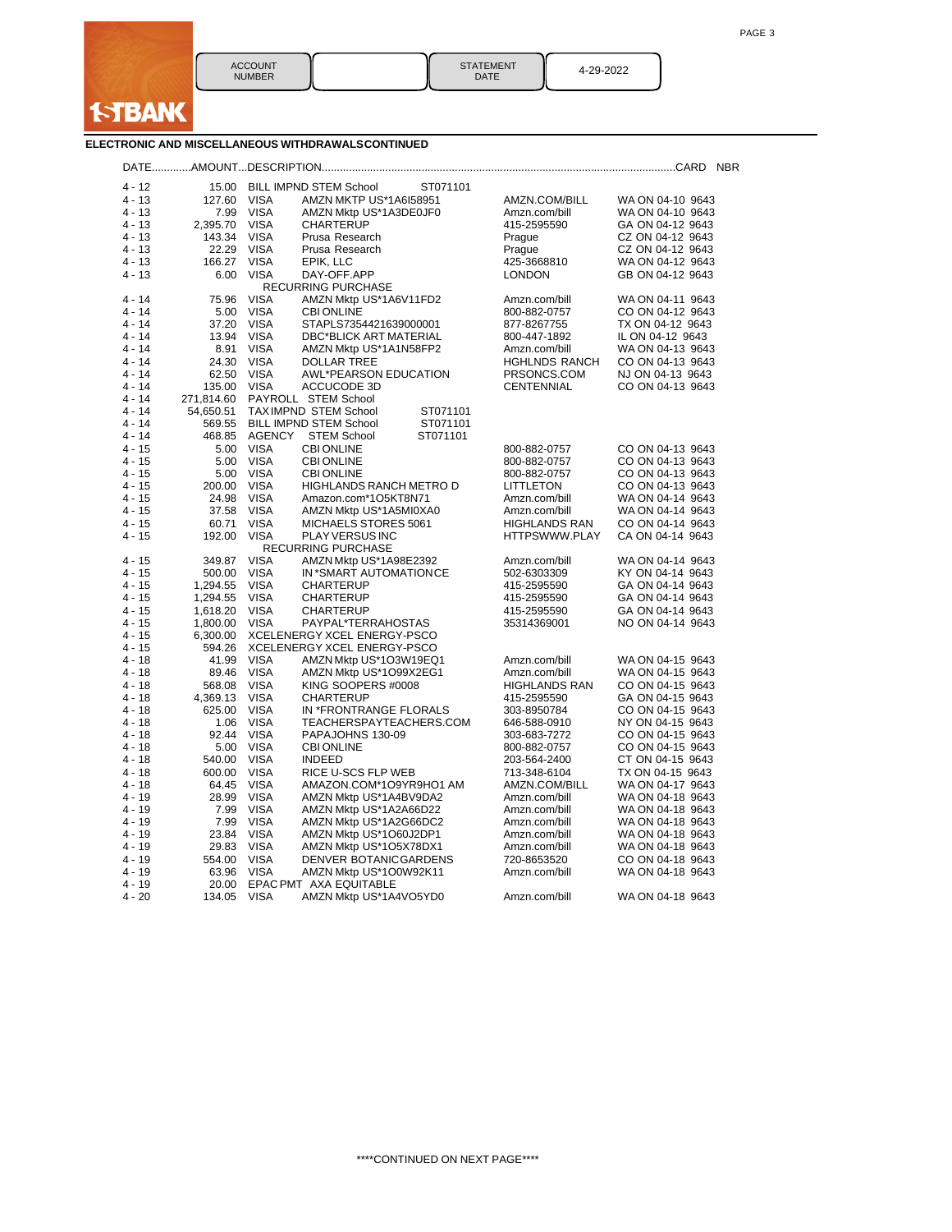

| <b>STATEMENT</b><br>DATE | 4-29-2022 |
|--------------------------|-----------|
|                          |           |

## **ELECTRONIC AND MISCELLANEOUS WITHDRAWALSCONTINUED**

| $4 - 12$ | 15.00      |             | <b>BILL IMPND STEM School</b><br>ST071101        |                              |                                      |
|----------|------------|-------------|--------------------------------------------------|------------------------------|--------------------------------------|
| $4 - 13$ | 127.60     | <b>VISA</b> | AMZN MKTP US*1A6I58951                           | AMZN.COM/BILL                | WA ON 04-10 9643                     |
| 4 - 13   | 7.99       | <b>VISA</b> | AMZN Mktp US*1A3DE0JF0                           | Amzn.com/bill                | WA ON 04-10 9643                     |
| 4 - 13   | 2,395.70   | <b>VISA</b> | <b>CHARTERUP</b>                                 | 415-2595590                  | GA ON 04-12 9643                     |
| 4 - 13   | 143.34     | <b>VISA</b> | Prusa Research                                   | Prague                       | CZ ON 04-12 9643                     |
| $4 - 13$ | 22.29      | <b>VISA</b> | Prusa Research                                   | Prague                       | CZ ON 04-12 9643                     |
| 4 - 13   | 166.27     | <b>VISA</b> | EPIK, LLC                                        | 425-3668810                  | WA ON 04-12 9643                     |
| 4 - 13   | 6.00       | <b>VISA</b> | DAY-OFF.APP                                      | <b>LONDON</b>                | GB ON 04-12 9643                     |
|          |            |             | <b>RECURRING PURCHASE</b>                        |                              |                                      |
| $4 - 14$ | 75.96      | <b>VISA</b> | AMZN Mktp US*1A6V11FD2                           | Amzn.com/bill                | WA ON 04-11 9643                     |
| 4 - 14   | 5.00       | <b>VISA</b> | <b>CBI ONLINE</b>                                | 800-882-0757                 | CO ON 04-12 9643                     |
| 4 - 14   | 37.20      | <b>VISA</b> | STAPLS7354421639000001                           | 877-8267755                  | TX ON 04-12 9643                     |
| 4 - 14   | 13.94      | <b>VISA</b> | <b>DBC*BLICK ART MATERIAL</b>                    | 800-447-1892                 | IL ON 04-12 9643                     |
| $4 - 14$ | 8.91       | <b>VISA</b> | AMZN Mktp US*1A1N58FP2                           | Amzn.com/bill                | WA ON 04-13 9643                     |
| 4 - 14   | 24.30      | <b>VISA</b> | <b>DOLLAR TREE</b>                               | <b>HGHLNDS RANCH</b>         | CO ON 04-13 9643                     |
| 4 - 14   | 62.50      | <b>VISA</b> | <b>AWL*PEARSON EDUCATION</b>                     | PRSONCS.COM                  | NJ ON 04-13 9643                     |
| 4 - 14   | 135.00     | <b>VISA</b> | ACCUCODE 3D                                      | <b>CENTENNIAL</b>            | CO ON 04-13 9643                     |
| 4 - 14   | 271.814.60 |             | PAYROLL STEM School                              |                              |                                      |
| 4 - 14   | 54,650.51  |             | TAXIMPND STEM School<br>ST071101                 |                              |                                      |
| 4 - 14   | 569.55     |             | <b>BILL IMPND STEM School</b><br>ST071101        |                              |                                      |
| 4 - 14   | 468.85     | AGENCY      | <b>STEM School</b><br>ST071101                   |                              |                                      |
| 4 - 15   | 5.00       | <b>VISA</b> | <b>CBI ONLINE</b>                                | 800-882-0757                 | CO ON 04-13 9643                     |
| 4 - 15   | 5.00       | <b>VISA</b> | <b>CBI ONLINE</b>                                | 800-882-0757                 | CO ON 04-13 9643                     |
| 4 - 15   | 5.00       | <b>VISA</b> | <b>CBI ONLINE</b>                                | 800-882-0757                 | CO ON 04-13 9643                     |
| 4 - 15   | 200.00     | <b>VISA</b> | <b>HIGHLANDS RANCH METRO D</b>                   | <b>LITTLETON</b>             | CO ON 04-13 9643                     |
| 4 - 15   | 24.98      | <b>VISA</b> | Amazon.com*1O5KT8N71                             | Amzn.com/bill                | WA ON 04-14 9643                     |
| $4 - 15$ | 37.58      | <b>VISA</b> | AMZN Mktp US*1A5MI0XA0                           | Amzn.com/bill                | WA ON 04-14 9643                     |
| 4 - 15   | 60.71      | <b>VISA</b> | MICHAELS STORES 5061                             | <b>HIGHLANDS RAN</b>         | CO ON 04-14 9643                     |
| 4 - 15   | 192.00     | <b>VISA</b> | PLAY VERSUS INC                                  | HTTPSWWW.PLAY                | CA ON 04-14 9643                     |
| 4 - 15   | 349.87     | <b>VISA</b> | <b>RECURRING PURCHASE</b>                        |                              |                                      |
| 4 - 15   | 500.00     | <b>VISA</b> | AMZN Mktp US*1A98E2392<br>IN *SMART AUTOMATIONCE | Amzn.com/bill<br>502-6303309 | WA ON 04-14 9643<br>KY ON 04-14 9643 |
| 4 - 15   | 1,294.55   | <b>VISA</b> | <b>CHARTERUP</b>                                 | 415-2595590                  | GA ON 04-14 9643                     |
| 4 - 15   | 1,294.55   | <b>VISA</b> | <b>CHARTERUP</b>                                 | 415-2595590                  | GA ON 04-14 9643                     |
| 4 - 15   | 1,618.20   | <b>VISA</b> | <b>CHARTERUP</b>                                 | 415-2595590                  | GA ON 04-14 9643                     |
| 4 - 15   | 1,800.00   | <b>VISA</b> | PAYPAL*TERRAHOSTAS                               | 35314369001                  | NO ON 04-14 9643                     |
| 4 - 15   | 6,300.00   |             | XCELENERGY XCEL ENERGY-PSCO                      |                              |                                      |
| 4 - 15   | 594.26     |             | XCELENERGY XCEL ENERGY-PSCO                      |                              |                                      |
| $4 - 18$ | 41.99      | <b>VISA</b> | AMZN Mktp US*1O3W19EQ1                           | Amzn.com/bill                | WA ON 04-15 9643                     |
| 4 - 18   | 89.46      | <b>VISA</b> | AMZN Mktp US*1O99X2EG1                           | Amzn.com/bill                | WA ON 04-15 9643                     |
| 4 - 18   | 568.08     | <b>VISA</b> | KING SOOPERS #0008                               | <b>HIGHLANDS RAN</b>         | CO ON 04-15 9643                     |
| 4 - 18   | 4,369.13   | <b>VISA</b> | <b>CHARTERUP</b>                                 | 415-2595590                  | GA ON 04-15 9643                     |
| 4 - 18   | 625.00     | <b>VISA</b> | IN *FRONTRANGE FLORALS                           | 303-8950784                  | CO ON 04-15 9643                     |
| 4 - 18   | 1.06       | <b>VISA</b> | TEACHERSPAYTEACHERS.COM                          | 646-588-0910                 | NY ON 04-15 9643                     |
| 4 - 18   | 92.44      | <b>VISA</b> | PAPAJOHNS 130-09                                 | 303-683-7272                 | CO ON 04-15 9643                     |
| 4 - 18   | 5.00       | <b>VISA</b> | <b>CBI ONLINE</b>                                | 800-882-0757                 | CO ON 04-15 9643                     |
| 4 - 18   | 540.00     | <b>VISA</b> | <b>INDEED</b>                                    | 203-564-2400                 | CT ON 04-15 9643                     |
| 4 - 18   | 600.00     | <b>VISA</b> | RICE U-SCS FLP WEB                               | 713-348-6104                 | TX ON 04-15 9643                     |
| 4 - 18   | 64.45      | <b>VISA</b> | AMAZON.COM*1O9YR9HO1 AM                          | AMZN.COM/BILL                | WA ON 04-17 9643                     |
| 4 - 19   | 28.99      | <b>VISA</b> | AMZN Mktp US*1A4BV9DA2                           | Amzn.com/bill                | WA ON 04-18 9643                     |
| $4 - 19$ | 7.99       | <b>VISA</b> | AMZN Mktp US*1A2A66D22                           | Amzn.com/bill                | WA ON 04-18 9643                     |
| 4 - 19   | 7.99       | <b>VISA</b> | AMZN Mktp US*1A2G66DC2                           | Amzn.com/bill                | WA ON 04-18 9643                     |
| 4 - 19   | 23.84      | <b>VISA</b> | AMZN Mktp US*1O60J2DP1                           | Amzn.com/bill                | WA ON 04-18 9643                     |
| 4 - 19   | 29.83      | <b>VISA</b> | AMZN Mktp US*1O5X78DX1                           | Amzn.com/bill                | WA ON 04-18 9643                     |
| $4 - 19$ | 554.00     | <b>VISA</b> | DENVER BOTANICGARDENS                            | 720-8653520                  | CO ON 04-18 9643                     |
| 4 - 19   | 63.96      | <b>VISA</b> | AMZN Mktp US*1O0W92K11                           | Amzn.com/bill                | WA ON 04-18 9643                     |
| 4 - 19   | 20.00      |             | EPAC PMT AXA EQUITABLE                           |                              |                                      |
| 4 - 20   | 134.05     | <b>VISA</b> | AMZN Mktp US*1A4VO5YD0                           | Amzn.com/bill                | WA ON 04-18 9643                     |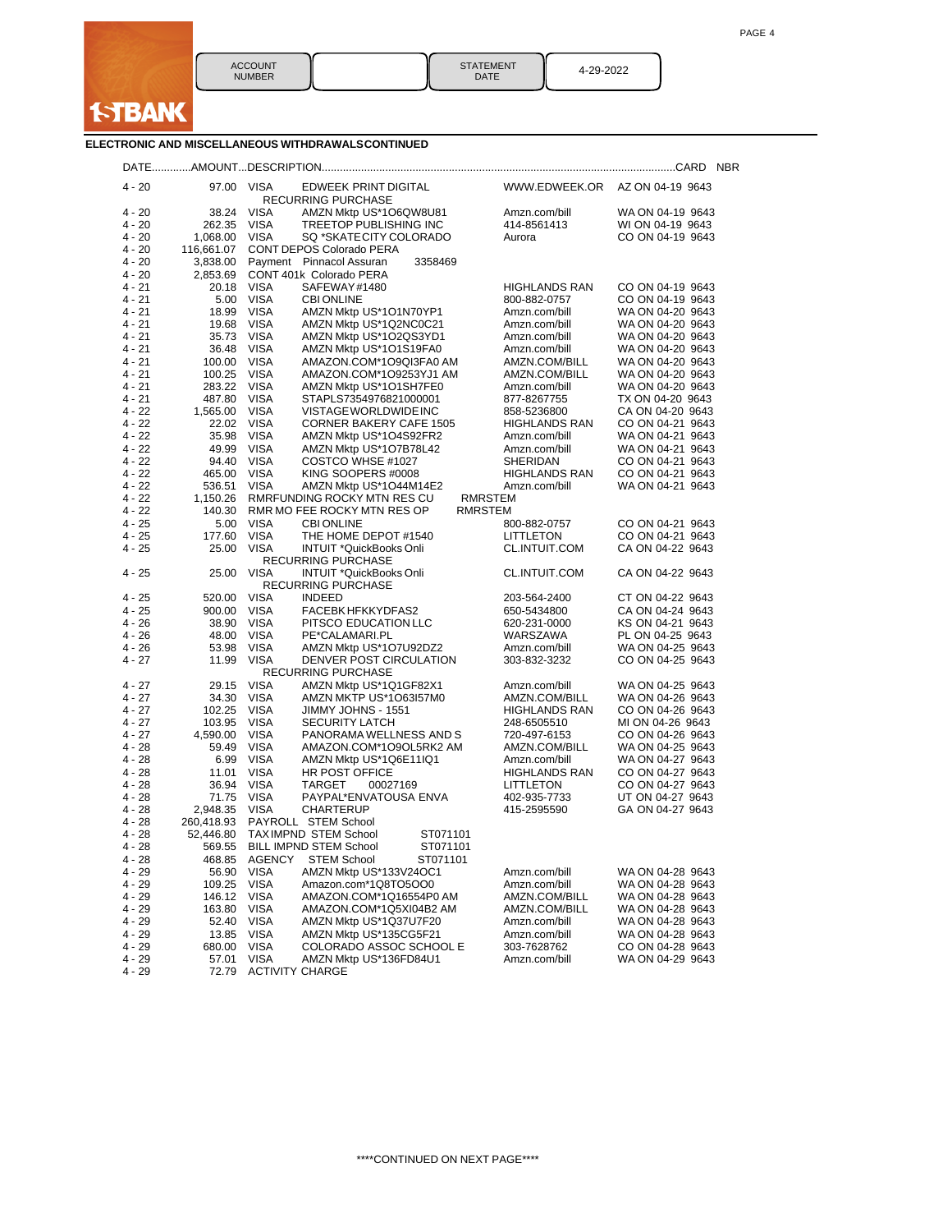

STATEMENT || 4-29-2022<br>DATE || 4-29-2022

## **ELECTRONIC AND MISCELLANEOUS WITHDRAWALSCONTINUED**

| $4 - 20$<br>97.00 VISA<br>EDWEEK PRINT DIGITAL<br>WWW.EDWEEK.OR AZ ON 04-19 9643<br>RECURRING PURCHASE<br>$4 - 20$<br>38.24<br>VISA<br>AMZN Mktp US*1O6QW8U81<br>WA ON 04-19 9643<br>Amzn.com/bill<br>TREETOP PUBLISHING INC<br>$4 - 20$<br><b>VISA</b><br>414-8561413<br>262.35<br>WI ON 04-19 9643<br>$4 - 20$<br>1,068.00<br>VISA<br>SQ *SKATECITY COLORADO<br>CO ON 04-19 9643<br>Aurora<br>$4 - 20$<br>116,661.07<br>CONT DEPOS Colorado PERA<br>$4 - 20$<br>Payment Pinnacol Assuran<br>3358469<br>3,838.00<br>$4 - 20$<br>CONT 401k Colorado PERA<br>2,853.69<br>VISA<br>$4 - 21$<br>20.18<br>SAFEWAY#1480<br><b>HIGHLANDS RAN</b><br>CO ON 04-19 9643<br>VISA<br>4 - 21<br>5.00<br>CO ON 04-19 9643<br><b>CBI ONLINE</b><br>800-882-0757<br>4 - 21<br>VISA<br>AMZN Mktp US*1O1N70YP1<br>WA ON 04-20 9643<br>18.99<br>Amzn.com/bill<br>$4 - 21$<br>19.68<br>VISA<br>AMZN Mktp US*1Q2NC0C21<br>Amzn.com/bill<br>WA ON 04-20 9643<br><b>VISA</b><br>4 - 21<br>AMZN Mktp US*1O2QS3YD1<br>Amzn.com/bill<br>WA ON 04-20 9643<br>35.73<br>4 - 21<br>VISA<br>AMZN Mktp US*1O1S19FA0<br>WA ON 04-20 9643<br>36.48<br>Amzn.com/bill<br>VISA<br>$4 - 21$<br>100.00<br>AMAZON.COM*1O9QI3FA0 AM<br>AMZN.COM/BILL<br>WA ON 04-20 9643<br><b>VISA</b><br>4 - 21<br>AMZN.COM/BILL<br>WA ON 04-20 9643<br>100.25<br>AMAZON.COM*1O9253YJ1 AM<br>4 - 21<br>VISA<br>WA ON 04-20 9643<br>283.22<br>AMZN Mktp US*1O1SH7FE0<br>Amzn.com/bill<br>$4 - 21$<br>487.80<br>VISA<br>STAPLS7354976821000001<br>877-8267755<br>TX ON 04-20 9643<br><b>VISA</b><br>$4 - 22$<br>VISTAGE WORLDWIDE INC<br>CA ON 04-20 9643<br>1,565.00<br>858-5236800<br>$4 - 22$<br>22.02 VISA<br><b>CORNER BAKERY CAFE 1505</b><br>CO ON 04-21 9643<br><b>HIGHLANDS RAN</b><br>$4 - 22$<br>35.98<br>VISA<br>AMZN Mktp US*1O4S92FR2<br>Amzn.com/bill<br>WA ON 04-21 9643<br>$4 - 22$<br>49.99<br>VISA<br>WA ON 04-21 9643<br>AMZN Mktp US*1O7B78L42<br>Amzn.com/bill<br>$4 - 22$<br>VISA<br>COSTCO WHSE #1027<br>SHERIDAN<br>CO ON 04-21 9643<br>94.40<br>$4 - 22$<br>465.00<br>VISA<br>KING SOOPERS #0008<br><b>HIGHLANDS RAN</b><br>CO ON 04-21 9643<br>$4 - 22$<br><b>VISA</b><br>AMZN Mktp US*1O44M14E2<br>Amzn.com/bill<br>WA ON 04-21 9643<br>536.51<br><b>RMRSTEM</b><br>$4 - 22$<br>1,150.26<br>RMRFUNDING ROCKY MTN RES CU<br>$4 - 22$<br>140.30<br>RMR MO FEE ROCKY MTN RES OP<br><b>RMRSTEM</b><br>$4 - 25$<br>VISA<br>800-882-0757<br>CO ON 04-21 9643<br>5.00<br><b>CBI ONLINE</b><br>$4 - 25$<br>VISA<br>THE HOME DEPOT #1540<br><b>LITTLETON</b><br>CO ON 04-21 9643<br>177.60<br>$4 - 25$<br>25.00<br>VISA<br>INTUIT *QuickBooks Onli<br>CL.INTUIT.COM<br>CA ON 04-22 9643<br>RECURRING PURCHASE<br>$4 - 25$<br>25.00<br>VISA<br>CL.INTUIT.COM<br>CA ON 04-22 9643<br>INTUIT *QuickBooks Onli<br><b>RECURRING PURCHASE</b><br><b>VISA</b><br>$4 - 25$<br>520.00<br><b>INDEED</b><br>CT ON 04-22 9643<br>203-564-2400<br>$4 - 25$<br>VISA<br>FACEBK HFKKYDFAS2<br>CA ON 04-24 9643<br>900.00<br>650-5434800<br>$4 - 26$<br>38.90<br>VISA<br>PITSCO EDUCATION LLC<br>620-231-0000<br>KS ON 04-21 9643<br>VISA<br>WARSZAWA<br>PL ON 04-25 9643<br>4 - 26<br>48.00<br>PE*CALAMARI.PL<br>$4 - 26$<br>VISA<br>WA ON 04-25 9643<br>53.98<br>AMZN Mktp US*1O7U92DZ2<br>Amzn.com/bill<br>$4 - 27$<br>11.99<br>VISA<br>DENVER POST CIRCULATION<br>303-832-3232<br>CO ON 04-25 9643<br><b>RECURRING PURCHASE</b><br><b>VISA</b><br>4 - 27<br>29.15<br>AMZN Mktp US*1Q1GF82X1<br>Amzn.com/bill<br>WA ON 04-25 9643<br><b>VISA</b><br>$4 - 27$<br>34.30<br>AMZN MKTP US*1O63I57M0<br>AMZN.COM/BILL<br>WA ON 04-26 9643<br>4 - 27<br><b>VISA</b><br>CO ON 04-26 9643<br>102.25<br>JIMMY JOHNS - 1551<br><b>HIGHLANDS RAN</b><br>$4 - 27$<br>VISA<br>MI ON 04-26 9643<br>103.95<br><b>SECURITY LATCH</b><br>248-6505510<br>$4 - 27$<br>4,590.00<br>VISA<br>PANORAMA WELLNESS AND S<br>720-497-6153<br>CO ON 04-26 9643<br>$4 - 28$<br>VISA<br>WA ON 04-25 9643<br>59.49<br>AMAZON.COM*1O9OL5RK2 AM<br>AMZN.COM/BILL<br>$4 - 28$<br>6.99<br>VISA<br>WA ON 04-27 9643<br>AMZN Mktp US*1Q6E11IQ1<br>Amzn.com/bill<br><b>VISA</b><br>$4 - 28$<br>11.01<br>HR POST OFFICE<br><b>HIGHLANDS RAN</b><br>CO ON 04-27 9643<br>36.94 VISA<br>CO ON 04-27 9643<br>4 - 28<br>TARGET<br>00027169<br>LITTLETON<br>$4 - 28$<br>VISA<br>PAYPAL*ENVATOUSA ENVA<br>UT ON 04-27 9643<br>71.75<br>402-935-7733<br>$4 - 28$<br>2,948.35<br>VISA<br><b>CHARTERUP</b><br>GA ON 04-27 9643<br>415-2595590<br>PAYROLL STEM School<br>4 - 28<br>260,418.93<br>$4 - 28$<br>52,446.80<br>TAXIMPND STEM School<br>ST071101<br>$4 - 28$<br>569.55<br>BILL IMPND STEM School<br>ST071101<br>4 - 28<br>468.85<br><b>AGENCY</b><br>STEM School<br>ST071101<br>Amzn.com/bill<br>4 - 29<br>VISA<br>AMZN Mktp US*133V24OC1<br>WA ON 04-28 9643<br>56.90<br><b>VISA</b><br>4 - 29<br>109.25<br>Amazon.com*1Q8TO5OO0<br>Amzn.com/bill<br>WA ON 04-28 9643<br>4 - 29<br><b>VISA</b><br>146.12<br>AMAZON.COM*1Q16554P0 AM<br>AMZN.COM/BILL<br>WA ON 04-28 9643<br>VISA<br>4 - 29<br>163.80<br>AMAZON.COM*1Q5XI04B2 AM<br>AMZN.COM/BILL<br>WA ON 04-28 9643<br>4 - 29<br>52.40<br><b>VISA</b><br>AMZN Mktp US*1Q37U7F20<br>Amzn.com/bill<br>WA ON 04-28 9643<br>$4 - 29$<br><b>VISA</b><br>Amzn.com/bill<br>13.85<br>AMZN Mktp US*135CG5F21<br>WA ON 04-28 9643<br>4 - 29<br>VISA<br>COLORADO ASSOC SCHOOL E<br>680.00<br>303-7628762<br>CO ON 04-28 9643<br>4 - 29<br>57.01<br><b>VISA</b><br>AMZN Mktp US*136FD84U1<br>Amzn.com/bill<br>WA ON 04-29 9643<br>$4 - 29$<br><b>ACTIVITY CHARGE</b><br>72.79 |  |  |  |
|-------------------------------------------------------------------------------------------------------------------------------------------------------------------------------------------------------------------------------------------------------------------------------------------------------------------------------------------------------------------------------------------------------------------------------------------------------------------------------------------------------------------------------------------------------------------------------------------------------------------------------------------------------------------------------------------------------------------------------------------------------------------------------------------------------------------------------------------------------------------------------------------------------------------------------------------------------------------------------------------------------------------------------------------------------------------------------------------------------------------------------------------------------------------------------------------------------------------------------------------------------------------------------------------------------------------------------------------------------------------------------------------------------------------------------------------------------------------------------------------------------------------------------------------------------------------------------------------------------------------------------------------------------------------------------------------------------------------------------------------------------------------------------------------------------------------------------------------------------------------------------------------------------------------------------------------------------------------------------------------------------------------------------------------------------------------------------------------------------------------------------------------------------------------------------------------------------------------------------------------------------------------------------------------------------------------------------------------------------------------------------------------------------------------------------------------------------------------------------------------------------------------------------------------------------------------------------------------------------------------------------------------------------------------------------------------------------------------------------------------------------------------------------------------------------------------------------------------------------------------------------------------------------------------------------------------------------------------------------------------------------------------------------------------------------------------------------------------------------------------------------------------------------------------------------------------------------------------------------------------------------------------------------------------------------------------------------------------------------------------------------------------------------------------------------------------------------------------------------------------------------------------------------------------------------------------------------------------------------------------------------------------------------------------------------------------------------------------------------------------------------------------------------------------------------------------------------------------------------------------------------------------------------------------------------------------------------------------------------------------------------------------------------------------------------------------------------------------------------------------------------------------------------------------------------------------------------------------------------------------------------------------------------------------------------------------------------------------------------------------------------------------------------------------------------------------------------------------------------------------------------------------------------------------------------------------------------------------------------------------------------------------------------------------------------------------------------------------------------------------------------------------------------------------------------------------------------------------------------------------------------------------------------------------------------------------------------------------------------------------------------------------------------------------------------------------------------------------------------------------------------------------------------------------------------------------------------------------------------------------------------------------------------------------------------------------------------------------------------------------------------------------------------------------------------------------------------------------------------------------------------------------------|--|--|--|
|                                                                                                                                                                                                                                                                                                                                                                                                                                                                                                                                                                                                                                                                                                                                                                                                                                                                                                                                                                                                                                                                                                                                                                                                                                                                                                                                                                                                                                                                                                                                                                                                                                                                                                                                                                                                                                                                                                                                                                                                                                                                                                                                                                                                                                                                                                                                                                                                                                                                                                                                                                                                                                                                                                                                                                                                                                                                                                                                                                                                                                                                                                                                                                                                                                                                                                                                                                                                                                                                                                                                                                                                                                                                                                                                                                                                                                                                                                                                                                                                                                                                                                                                                                                                                                                                                                                                                                                                                                                                                                                                                                                                                                                                                                                                                                                                                                                                                                                                                                                                                                                                                                                                                                                                                                                                                                                                                                                                                                                                                                                         |  |  |  |
|                                                                                                                                                                                                                                                                                                                                                                                                                                                                                                                                                                                                                                                                                                                                                                                                                                                                                                                                                                                                                                                                                                                                                                                                                                                                                                                                                                                                                                                                                                                                                                                                                                                                                                                                                                                                                                                                                                                                                                                                                                                                                                                                                                                                                                                                                                                                                                                                                                                                                                                                                                                                                                                                                                                                                                                                                                                                                                                                                                                                                                                                                                                                                                                                                                                                                                                                                                                                                                                                                                                                                                                                                                                                                                                                                                                                                                                                                                                                                                                                                                                                                                                                                                                                                                                                                                                                                                                                                                                                                                                                                                                                                                                                                                                                                                                                                                                                                                                                                                                                                                                                                                                                                                                                                                                                                                                                                                                                                                                                                                                         |  |  |  |
|                                                                                                                                                                                                                                                                                                                                                                                                                                                                                                                                                                                                                                                                                                                                                                                                                                                                                                                                                                                                                                                                                                                                                                                                                                                                                                                                                                                                                                                                                                                                                                                                                                                                                                                                                                                                                                                                                                                                                                                                                                                                                                                                                                                                                                                                                                                                                                                                                                                                                                                                                                                                                                                                                                                                                                                                                                                                                                                                                                                                                                                                                                                                                                                                                                                                                                                                                                                                                                                                                                                                                                                                                                                                                                                                                                                                                                                                                                                                                                                                                                                                                                                                                                                                                                                                                                                                                                                                                                                                                                                                                                                                                                                                                                                                                                                                                                                                                                                                                                                                                                                                                                                                                                                                                                                                                                                                                                                                                                                                                                                         |  |  |  |
|                                                                                                                                                                                                                                                                                                                                                                                                                                                                                                                                                                                                                                                                                                                                                                                                                                                                                                                                                                                                                                                                                                                                                                                                                                                                                                                                                                                                                                                                                                                                                                                                                                                                                                                                                                                                                                                                                                                                                                                                                                                                                                                                                                                                                                                                                                                                                                                                                                                                                                                                                                                                                                                                                                                                                                                                                                                                                                                                                                                                                                                                                                                                                                                                                                                                                                                                                                                                                                                                                                                                                                                                                                                                                                                                                                                                                                                                                                                                                                                                                                                                                                                                                                                                                                                                                                                                                                                                                                                                                                                                                                                                                                                                                                                                                                                                                                                                                                                                                                                                                                                                                                                                                                                                                                                                                                                                                                                                                                                                                                                         |  |  |  |
|                                                                                                                                                                                                                                                                                                                                                                                                                                                                                                                                                                                                                                                                                                                                                                                                                                                                                                                                                                                                                                                                                                                                                                                                                                                                                                                                                                                                                                                                                                                                                                                                                                                                                                                                                                                                                                                                                                                                                                                                                                                                                                                                                                                                                                                                                                                                                                                                                                                                                                                                                                                                                                                                                                                                                                                                                                                                                                                                                                                                                                                                                                                                                                                                                                                                                                                                                                                                                                                                                                                                                                                                                                                                                                                                                                                                                                                                                                                                                                                                                                                                                                                                                                                                                                                                                                                                                                                                                                                                                                                                                                                                                                                                                                                                                                                                                                                                                                                                                                                                                                                                                                                                                                                                                                                                                                                                                                                                                                                                                                                         |  |  |  |
|                                                                                                                                                                                                                                                                                                                                                                                                                                                                                                                                                                                                                                                                                                                                                                                                                                                                                                                                                                                                                                                                                                                                                                                                                                                                                                                                                                                                                                                                                                                                                                                                                                                                                                                                                                                                                                                                                                                                                                                                                                                                                                                                                                                                                                                                                                                                                                                                                                                                                                                                                                                                                                                                                                                                                                                                                                                                                                                                                                                                                                                                                                                                                                                                                                                                                                                                                                                                                                                                                                                                                                                                                                                                                                                                                                                                                                                                                                                                                                                                                                                                                                                                                                                                                                                                                                                                                                                                                                                                                                                                                                                                                                                                                                                                                                                                                                                                                                                                                                                                                                                                                                                                                                                                                                                                                                                                                                                                                                                                                                                         |  |  |  |
|                                                                                                                                                                                                                                                                                                                                                                                                                                                                                                                                                                                                                                                                                                                                                                                                                                                                                                                                                                                                                                                                                                                                                                                                                                                                                                                                                                                                                                                                                                                                                                                                                                                                                                                                                                                                                                                                                                                                                                                                                                                                                                                                                                                                                                                                                                                                                                                                                                                                                                                                                                                                                                                                                                                                                                                                                                                                                                                                                                                                                                                                                                                                                                                                                                                                                                                                                                                                                                                                                                                                                                                                                                                                                                                                                                                                                                                                                                                                                                                                                                                                                                                                                                                                                                                                                                                                                                                                                                                                                                                                                                                                                                                                                                                                                                                                                                                                                                                                                                                                                                                                                                                                                                                                                                                                                                                                                                                                                                                                                                                         |  |  |  |
|                                                                                                                                                                                                                                                                                                                                                                                                                                                                                                                                                                                                                                                                                                                                                                                                                                                                                                                                                                                                                                                                                                                                                                                                                                                                                                                                                                                                                                                                                                                                                                                                                                                                                                                                                                                                                                                                                                                                                                                                                                                                                                                                                                                                                                                                                                                                                                                                                                                                                                                                                                                                                                                                                                                                                                                                                                                                                                                                                                                                                                                                                                                                                                                                                                                                                                                                                                                                                                                                                                                                                                                                                                                                                                                                                                                                                                                                                                                                                                                                                                                                                                                                                                                                                                                                                                                                                                                                                                                                                                                                                                                                                                                                                                                                                                                                                                                                                                                                                                                                                                                                                                                                                                                                                                                                                                                                                                                                                                                                                                                         |  |  |  |
|                                                                                                                                                                                                                                                                                                                                                                                                                                                                                                                                                                                                                                                                                                                                                                                                                                                                                                                                                                                                                                                                                                                                                                                                                                                                                                                                                                                                                                                                                                                                                                                                                                                                                                                                                                                                                                                                                                                                                                                                                                                                                                                                                                                                                                                                                                                                                                                                                                                                                                                                                                                                                                                                                                                                                                                                                                                                                                                                                                                                                                                                                                                                                                                                                                                                                                                                                                                                                                                                                                                                                                                                                                                                                                                                                                                                                                                                                                                                                                                                                                                                                                                                                                                                                                                                                                                                                                                                                                                                                                                                                                                                                                                                                                                                                                                                                                                                                                                                                                                                                                                                                                                                                                                                                                                                                                                                                                                                                                                                                                                         |  |  |  |
|                                                                                                                                                                                                                                                                                                                                                                                                                                                                                                                                                                                                                                                                                                                                                                                                                                                                                                                                                                                                                                                                                                                                                                                                                                                                                                                                                                                                                                                                                                                                                                                                                                                                                                                                                                                                                                                                                                                                                                                                                                                                                                                                                                                                                                                                                                                                                                                                                                                                                                                                                                                                                                                                                                                                                                                                                                                                                                                                                                                                                                                                                                                                                                                                                                                                                                                                                                                                                                                                                                                                                                                                                                                                                                                                                                                                                                                                                                                                                                                                                                                                                                                                                                                                                                                                                                                                                                                                                                                                                                                                                                                                                                                                                                                                                                                                                                                                                                                                                                                                                                                                                                                                                                                                                                                                                                                                                                                                                                                                                                                         |  |  |  |
|                                                                                                                                                                                                                                                                                                                                                                                                                                                                                                                                                                                                                                                                                                                                                                                                                                                                                                                                                                                                                                                                                                                                                                                                                                                                                                                                                                                                                                                                                                                                                                                                                                                                                                                                                                                                                                                                                                                                                                                                                                                                                                                                                                                                                                                                                                                                                                                                                                                                                                                                                                                                                                                                                                                                                                                                                                                                                                                                                                                                                                                                                                                                                                                                                                                                                                                                                                                                                                                                                                                                                                                                                                                                                                                                                                                                                                                                                                                                                                                                                                                                                                                                                                                                                                                                                                                                                                                                                                                                                                                                                                                                                                                                                                                                                                                                                                                                                                                                                                                                                                                                                                                                                                                                                                                                                                                                                                                                                                                                                                                         |  |  |  |
|                                                                                                                                                                                                                                                                                                                                                                                                                                                                                                                                                                                                                                                                                                                                                                                                                                                                                                                                                                                                                                                                                                                                                                                                                                                                                                                                                                                                                                                                                                                                                                                                                                                                                                                                                                                                                                                                                                                                                                                                                                                                                                                                                                                                                                                                                                                                                                                                                                                                                                                                                                                                                                                                                                                                                                                                                                                                                                                                                                                                                                                                                                                                                                                                                                                                                                                                                                                                                                                                                                                                                                                                                                                                                                                                                                                                                                                                                                                                                                                                                                                                                                                                                                                                                                                                                                                                                                                                                                                                                                                                                                                                                                                                                                                                                                                                                                                                                                                                                                                                                                                                                                                                                                                                                                                                                                                                                                                                                                                                                                                         |  |  |  |
|                                                                                                                                                                                                                                                                                                                                                                                                                                                                                                                                                                                                                                                                                                                                                                                                                                                                                                                                                                                                                                                                                                                                                                                                                                                                                                                                                                                                                                                                                                                                                                                                                                                                                                                                                                                                                                                                                                                                                                                                                                                                                                                                                                                                                                                                                                                                                                                                                                                                                                                                                                                                                                                                                                                                                                                                                                                                                                                                                                                                                                                                                                                                                                                                                                                                                                                                                                                                                                                                                                                                                                                                                                                                                                                                                                                                                                                                                                                                                                                                                                                                                                                                                                                                                                                                                                                                                                                                                                                                                                                                                                                                                                                                                                                                                                                                                                                                                                                                                                                                                                                                                                                                                                                                                                                                                                                                                                                                                                                                                                                         |  |  |  |
|                                                                                                                                                                                                                                                                                                                                                                                                                                                                                                                                                                                                                                                                                                                                                                                                                                                                                                                                                                                                                                                                                                                                                                                                                                                                                                                                                                                                                                                                                                                                                                                                                                                                                                                                                                                                                                                                                                                                                                                                                                                                                                                                                                                                                                                                                                                                                                                                                                                                                                                                                                                                                                                                                                                                                                                                                                                                                                                                                                                                                                                                                                                                                                                                                                                                                                                                                                                                                                                                                                                                                                                                                                                                                                                                                                                                                                                                                                                                                                                                                                                                                                                                                                                                                                                                                                                                                                                                                                                                                                                                                                                                                                                                                                                                                                                                                                                                                                                                                                                                                                                                                                                                                                                                                                                                                                                                                                                                                                                                                                                         |  |  |  |
|                                                                                                                                                                                                                                                                                                                                                                                                                                                                                                                                                                                                                                                                                                                                                                                                                                                                                                                                                                                                                                                                                                                                                                                                                                                                                                                                                                                                                                                                                                                                                                                                                                                                                                                                                                                                                                                                                                                                                                                                                                                                                                                                                                                                                                                                                                                                                                                                                                                                                                                                                                                                                                                                                                                                                                                                                                                                                                                                                                                                                                                                                                                                                                                                                                                                                                                                                                                                                                                                                                                                                                                                                                                                                                                                                                                                                                                                                                                                                                                                                                                                                                                                                                                                                                                                                                                                                                                                                                                                                                                                                                                                                                                                                                                                                                                                                                                                                                                                                                                                                                                                                                                                                                                                                                                                                                                                                                                                                                                                                                                         |  |  |  |
|                                                                                                                                                                                                                                                                                                                                                                                                                                                                                                                                                                                                                                                                                                                                                                                                                                                                                                                                                                                                                                                                                                                                                                                                                                                                                                                                                                                                                                                                                                                                                                                                                                                                                                                                                                                                                                                                                                                                                                                                                                                                                                                                                                                                                                                                                                                                                                                                                                                                                                                                                                                                                                                                                                                                                                                                                                                                                                                                                                                                                                                                                                                                                                                                                                                                                                                                                                                                                                                                                                                                                                                                                                                                                                                                                                                                                                                                                                                                                                                                                                                                                                                                                                                                                                                                                                                                                                                                                                                                                                                                                                                                                                                                                                                                                                                                                                                                                                                                                                                                                                                                                                                                                                                                                                                                                                                                                                                                                                                                                                                         |  |  |  |
|                                                                                                                                                                                                                                                                                                                                                                                                                                                                                                                                                                                                                                                                                                                                                                                                                                                                                                                                                                                                                                                                                                                                                                                                                                                                                                                                                                                                                                                                                                                                                                                                                                                                                                                                                                                                                                                                                                                                                                                                                                                                                                                                                                                                                                                                                                                                                                                                                                                                                                                                                                                                                                                                                                                                                                                                                                                                                                                                                                                                                                                                                                                                                                                                                                                                                                                                                                                                                                                                                                                                                                                                                                                                                                                                                                                                                                                                                                                                                                                                                                                                                                                                                                                                                                                                                                                                                                                                                                                                                                                                                                                                                                                                                                                                                                                                                                                                                                                                                                                                                                                                                                                                                                                                                                                                                                                                                                                                                                                                                                                         |  |  |  |
|                                                                                                                                                                                                                                                                                                                                                                                                                                                                                                                                                                                                                                                                                                                                                                                                                                                                                                                                                                                                                                                                                                                                                                                                                                                                                                                                                                                                                                                                                                                                                                                                                                                                                                                                                                                                                                                                                                                                                                                                                                                                                                                                                                                                                                                                                                                                                                                                                                                                                                                                                                                                                                                                                                                                                                                                                                                                                                                                                                                                                                                                                                                                                                                                                                                                                                                                                                                                                                                                                                                                                                                                                                                                                                                                                                                                                                                                                                                                                                                                                                                                                                                                                                                                                                                                                                                                                                                                                                                                                                                                                                                                                                                                                                                                                                                                                                                                                                                                                                                                                                                                                                                                                                                                                                                                                                                                                                                                                                                                                                                         |  |  |  |
|                                                                                                                                                                                                                                                                                                                                                                                                                                                                                                                                                                                                                                                                                                                                                                                                                                                                                                                                                                                                                                                                                                                                                                                                                                                                                                                                                                                                                                                                                                                                                                                                                                                                                                                                                                                                                                                                                                                                                                                                                                                                                                                                                                                                                                                                                                                                                                                                                                                                                                                                                                                                                                                                                                                                                                                                                                                                                                                                                                                                                                                                                                                                                                                                                                                                                                                                                                                                                                                                                                                                                                                                                                                                                                                                                                                                                                                                                                                                                                                                                                                                                                                                                                                                                                                                                                                                                                                                                                                                                                                                                                                                                                                                                                                                                                                                                                                                                                                                                                                                                                                                                                                                                                                                                                                                                                                                                                                                                                                                                                                         |  |  |  |
|                                                                                                                                                                                                                                                                                                                                                                                                                                                                                                                                                                                                                                                                                                                                                                                                                                                                                                                                                                                                                                                                                                                                                                                                                                                                                                                                                                                                                                                                                                                                                                                                                                                                                                                                                                                                                                                                                                                                                                                                                                                                                                                                                                                                                                                                                                                                                                                                                                                                                                                                                                                                                                                                                                                                                                                                                                                                                                                                                                                                                                                                                                                                                                                                                                                                                                                                                                                                                                                                                                                                                                                                                                                                                                                                                                                                                                                                                                                                                                                                                                                                                                                                                                                                                                                                                                                                                                                                                                                                                                                                                                                                                                                                                                                                                                                                                                                                                                                                                                                                                                                                                                                                                                                                                                                                                                                                                                                                                                                                                                                         |  |  |  |
|                                                                                                                                                                                                                                                                                                                                                                                                                                                                                                                                                                                                                                                                                                                                                                                                                                                                                                                                                                                                                                                                                                                                                                                                                                                                                                                                                                                                                                                                                                                                                                                                                                                                                                                                                                                                                                                                                                                                                                                                                                                                                                                                                                                                                                                                                                                                                                                                                                                                                                                                                                                                                                                                                                                                                                                                                                                                                                                                                                                                                                                                                                                                                                                                                                                                                                                                                                                                                                                                                                                                                                                                                                                                                                                                                                                                                                                                                                                                                                                                                                                                                                                                                                                                                                                                                                                                                                                                                                                                                                                                                                                                                                                                                                                                                                                                                                                                                                                                                                                                                                                                                                                                                                                                                                                                                                                                                                                                                                                                                                                         |  |  |  |
|                                                                                                                                                                                                                                                                                                                                                                                                                                                                                                                                                                                                                                                                                                                                                                                                                                                                                                                                                                                                                                                                                                                                                                                                                                                                                                                                                                                                                                                                                                                                                                                                                                                                                                                                                                                                                                                                                                                                                                                                                                                                                                                                                                                                                                                                                                                                                                                                                                                                                                                                                                                                                                                                                                                                                                                                                                                                                                                                                                                                                                                                                                                                                                                                                                                                                                                                                                                                                                                                                                                                                                                                                                                                                                                                                                                                                                                                                                                                                                                                                                                                                                                                                                                                                                                                                                                                                                                                                                                                                                                                                                                                                                                                                                                                                                                                                                                                                                                                                                                                                                                                                                                                                                                                                                                                                                                                                                                                                                                                                                                         |  |  |  |
|                                                                                                                                                                                                                                                                                                                                                                                                                                                                                                                                                                                                                                                                                                                                                                                                                                                                                                                                                                                                                                                                                                                                                                                                                                                                                                                                                                                                                                                                                                                                                                                                                                                                                                                                                                                                                                                                                                                                                                                                                                                                                                                                                                                                                                                                                                                                                                                                                                                                                                                                                                                                                                                                                                                                                                                                                                                                                                                                                                                                                                                                                                                                                                                                                                                                                                                                                                                                                                                                                                                                                                                                                                                                                                                                                                                                                                                                                                                                                                                                                                                                                                                                                                                                                                                                                                                                                                                                                                                                                                                                                                                                                                                                                                                                                                                                                                                                                                                                                                                                                                                                                                                                                                                                                                                                                                                                                                                                                                                                                                                         |  |  |  |
|                                                                                                                                                                                                                                                                                                                                                                                                                                                                                                                                                                                                                                                                                                                                                                                                                                                                                                                                                                                                                                                                                                                                                                                                                                                                                                                                                                                                                                                                                                                                                                                                                                                                                                                                                                                                                                                                                                                                                                                                                                                                                                                                                                                                                                                                                                                                                                                                                                                                                                                                                                                                                                                                                                                                                                                                                                                                                                                                                                                                                                                                                                                                                                                                                                                                                                                                                                                                                                                                                                                                                                                                                                                                                                                                                                                                                                                                                                                                                                                                                                                                                                                                                                                                                                                                                                                                                                                                                                                                                                                                                                                                                                                                                                                                                                                                                                                                                                                                                                                                                                                                                                                                                                                                                                                                                                                                                                                                                                                                                                                         |  |  |  |
|                                                                                                                                                                                                                                                                                                                                                                                                                                                                                                                                                                                                                                                                                                                                                                                                                                                                                                                                                                                                                                                                                                                                                                                                                                                                                                                                                                                                                                                                                                                                                                                                                                                                                                                                                                                                                                                                                                                                                                                                                                                                                                                                                                                                                                                                                                                                                                                                                                                                                                                                                                                                                                                                                                                                                                                                                                                                                                                                                                                                                                                                                                                                                                                                                                                                                                                                                                                                                                                                                                                                                                                                                                                                                                                                                                                                                                                                                                                                                                                                                                                                                                                                                                                                                                                                                                                                                                                                                                                                                                                                                                                                                                                                                                                                                                                                                                                                                                                                                                                                                                                                                                                                                                                                                                                                                                                                                                                                                                                                                                                         |  |  |  |
|                                                                                                                                                                                                                                                                                                                                                                                                                                                                                                                                                                                                                                                                                                                                                                                                                                                                                                                                                                                                                                                                                                                                                                                                                                                                                                                                                                                                                                                                                                                                                                                                                                                                                                                                                                                                                                                                                                                                                                                                                                                                                                                                                                                                                                                                                                                                                                                                                                                                                                                                                                                                                                                                                                                                                                                                                                                                                                                                                                                                                                                                                                                                                                                                                                                                                                                                                                                                                                                                                                                                                                                                                                                                                                                                                                                                                                                                                                                                                                                                                                                                                                                                                                                                                                                                                                                                                                                                                                                                                                                                                                                                                                                                                                                                                                                                                                                                                                                                                                                                                                                                                                                                                                                                                                                                                                                                                                                                                                                                                                                         |  |  |  |
|                                                                                                                                                                                                                                                                                                                                                                                                                                                                                                                                                                                                                                                                                                                                                                                                                                                                                                                                                                                                                                                                                                                                                                                                                                                                                                                                                                                                                                                                                                                                                                                                                                                                                                                                                                                                                                                                                                                                                                                                                                                                                                                                                                                                                                                                                                                                                                                                                                                                                                                                                                                                                                                                                                                                                                                                                                                                                                                                                                                                                                                                                                                                                                                                                                                                                                                                                                                                                                                                                                                                                                                                                                                                                                                                                                                                                                                                                                                                                                                                                                                                                                                                                                                                                                                                                                                                                                                                                                                                                                                                                                                                                                                                                                                                                                                                                                                                                                                                                                                                                                                                                                                                                                                                                                                                                                                                                                                                                                                                                                                         |  |  |  |
|                                                                                                                                                                                                                                                                                                                                                                                                                                                                                                                                                                                                                                                                                                                                                                                                                                                                                                                                                                                                                                                                                                                                                                                                                                                                                                                                                                                                                                                                                                                                                                                                                                                                                                                                                                                                                                                                                                                                                                                                                                                                                                                                                                                                                                                                                                                                                                                                                                                                                                                                                                                                                                                                                                                                                                                                                                                                                                                                                                                                                                                                                                                                                                                                                                                                                                                                                                                                                                                                                                                                                                                                                                                                                                                                                                                                                                                                                                                                                                                                                                                                                                                                                                                                                                                                                                                                                                                                                                                                                                                                                                                                                                                                                                                                                                                                                                                                                                                                                                                                                                                                                                                                                                                                                                                                                                                                                                                                                                                                                                                         |  |  |  |
|                                                                                                                                                                                                                                                                                                                                                                                                                                                                                                                                                                                                                                                                                                                                                                                                                                                                                                                                                                                                                                                                                                                                                                                                                                                                                                                                                                                                                                                                                                                                                                                                                                                                                                                                                                                                                                                                                                                                                                                                                                                                                                                                                                                                                                                                                                                                                                                                                                                                                                                                                                                                                                                                                                                                                                                                                                                                                                                                                                                                                                                                                                                                                                                                                                                                                                                                                                                                                                                                                                                                                                                                                                                                                                                                                                                                                                                                                                                                                                                                                                                                                                                                                                                                                                                                                                                                                                                                                                                                                                                                                                                                                                                                                                                                                                                                                                                                                                                                                                                                                                                                                                                                                                                                                                                                                                                                                                                                                                                                                                                         |  |  |  |
|                                                                                                                                                                                                                                                                                                                                                                                                                                                                                                                                                                                                                                                                                                                                                                                                                                                                                                                                                                                                                                                                                                                                                                                                                                                                                                                                                                                                                                                                                                                                                                                                                                                                                                                                                                                                                                                                                                                                                                                                                                                                                                                                                                                                                                                                                                                                                                                                                                                                                                                                                                                                                                                                                                                                                                                                                                                                                                                                                                                                                                                                                                                                                                                                                                                                                                                                                                                                                                                                                                                                                                                                                                                                                                                                                                                                                                                                                                                                                                                                                                                                                                                                                                                                                                                                                                                                                                                                                                                                                                                                                                                                                                                                                                                                                                                                                                                                                                                                                                                                                                                                                                                                                                                                                                                                                                                                                                                                                                                                                                                         |  |  |  |
|                                                                                                                                                                                                                                                                                                                                                                                                                                                                                                                                                                                                                                                                                                                                                                                                                                                                                                                                                                                                                                                                                                                                                                                                                                                                                                                                                                                                                                                                                                                                                                                                                                                                                                                                                                                                                                                                                                                                                                                                                                                                                                                                                                                                                                                                                                                                                                                                                                                                                                                                                                                                                                                                                                                                                                                                                                                                                                                                                                                                                                                                                                                                                                                                                                                                                                                                                                                                                                                                                                                                                                                                                                                                                                                                                                                                                                                                                                                                                                                                                                                                                                                                                                                                                                                                                                                                                                                                                                                                                                                                                                                                                                                                                                                                                                                                                                                                                                                                                                                                                                                                                                                                                                                                                                                                                                                                                                                                                                                                                                                         |  |  |  |
|                                                                                                                                                                                                                                                                                                                                                                                                                                                                                                                                                                                                                                                                                                                                                                                                                                                                                                                                                                                                                                                                                                                                                                                                                                                                                                                                                                                                                                                                                                                                                                                                                                                                                                                                                                                                                                                                                                                                                                                                                                                                                                                                                                                                                                                                                                                                                                                                                                                                                                                                                                                                                                                                                                                                                                                                                                                                                                                                                                                                                                                                                                                                                                                                                                                                                                                                                                                                                                                                                                                                                                                                                                                                                                                                                                                                                                                                                                                                                                                                                                                                                                                                                                                                                                                                                                                                                                                                                                                                                                                                                                                                                                                                                                                                                                                                                                                                                                                                                                                                                                                                                                                                                                                                                                                                                                                                                                                                                                                                                                                         |  |  |  |
|                                                                                                                                                                                                                                                                                                                                                                                                                                                                                                                                                                                                                                                                                                                                                                                                                                                                                                                                                                                                                                                                                                                                                                                                                                                                                                                                                                                                                                                                                                                                                                                                                                                                                                                                                                                                                                                                                                                                                                                                                                                                                                                                                                                                                                                                                                                                                                                                                                                                                                                                                                                                                                                                                                                                                                                                                                                                                                                                                                                                                                                                                                                                                                                                                                                                                                                                                                                                                                                                                                                                                                                                                                                                                                                                                                                                                                                                                                                                                                                                                                                                                                                                                                                                                                                                                                                                                                                                                                                                                                                                                                                                                                                                                                                                                                                                                                                                                                                                                                                                                                                                                                                                                                                                                                                                                                                                                                                                                                                                                                                         |  |  |  |
|                                                                                                                                                                                                                                                                                                                                                                                                                                                                                                                                                                                                                                                                                                                                                                                                                                                                                                                                                                                                                                                                                                                                                                                                                                                                                                                                                                                                                                                                                                                                                                                                                                                                                                                                                                                                                                                                                                                                                                                                                                                                                                                                                                                                                                                                                                                                                                                                                                                                                                                                                                                                                                                                                                                                                                                                                                                                                                                                                                                                                                                                                                                                                                                                                                                                                                                                                                                                                                                                                                                                                                                                                                                                                                                                                                                                                                                                                                                                                                                                                                                                                                                                                                                                                                                                                                                                                                                                                                                                                                                                                                                                                                                                                                                                                                                                                                                                                                                                                                                                                                                                                                                                                                                                                                                                                                                                                                                                                                                                                                                         |  |  |  |
|                                                                                                                                                                                                                                                                                                                                                                                                                                                                                                                                                                                                                                                                                                                                                                                                                                                                                                                                                                                                                                                                                                                                                                                                                                                                                                                                                                                                                                                                                                                                                                                                                                                                                                                                                                                                                                                                                                                                                                                                                                                                                                                                                                                                                                                                                                                                                                                                                                                                                                                                                                                                                                                                                                                                                                                                                                                                                                                                                                                                                                                                                                                                                                                                                                                                                                                                                                                                                                                                                                                                                                                                                                                                                                                                                                                                                                                                                                                                                                                                                                                                                                                                                                                                                                                                                                                                                                                                                                                                                                                                                                                                                                                                                                                                                                                                                                                                                                                                                                                                                                                                                                                                                                                                                                                                                                                                                                                                                                                                                                                         |  |  |  |
|                                                                                                                                                                                                                                                                                                                                                                                                                                                                                                                                                                                                                                                                                                                                                                                                                                                                                                                                                                                                                                                                                                                                                                                                                                                                                                                                                                                                                                                                                                                                                                                                                                                                                                                                                                                                                                                                                                                                                                                                                                                                                                                                                                                                                                                                                                                                                                                                                                                                                                                                                                                                                                                                                                                                                                                                                                                                                                                                                                                                                                                                                                                                                                                                                                                                                                                                                                                                                                                                                                                                                                                                                                                                                                                                                                                                                                                                                                                                                                                                                                                                                                                                                                                                                                                                                                                                                                                                                                                                                                                                                                                                                                                                                                                                                                                                                                                                                                                                                                                                                                                                                                                                                                                                                                                                                                                                                                                                                                                                                                                         |  |  |  |
|                                                                                                                                                                                                                                                                                                                                                                                                                                                                                                                                                                                                                                                                                                                                                                                                                                                                                                                                                                                                                                                                                                                                                                                                                                                                                                                                                                                                                                                                                                                                                                                                                                                                                                                                                                                                                                                                                                                                                                                                                                                                                                                                                                                                                                                                                                                                                                                                                                                                                                                                                                                                                                                                                                                                                                                                                                                                                                                                                                                                                                                                                                                                                                                                                                                                                                                                                                                                                                                                                                                                                                                                                                                                                                                                                                                                                                                                                                                                                                                                                                                                                                                                                                                                                                                                                                                                                                                                                                                                                                                                                                                                                                                                                                                                                                                                                                                                                                                                                                                                                                                                                                                                                                                                                                                                                                                                                                                                                                                                                                                         |  |  |  |
|                                                                                                                                                                                                                                                                                                                                                                                                                                                                                                                                                                                                                                                                                                                                                                                                                                                                                                                                                                                                                                                                                                                                                                                                                                                                                                                                                                                                                                                                                                                                                                                                                                                                                                                                                                                                                                                                                                                                                                                                                                                                                                                                                                                                                                                                                                                                                                                                                                                                                                                                                                                                                                                                                                                                                                                                                                                                                                                                                                                                                                                                                                                                                                                                                                                                                                                                                                                                                                                                                                                                                                                                                                                                                                                                                                                                                                                                                                                                                                                                                                                                                                                                                                                                                                                                                                                                                                                                                                                                                                                                                                                                                                                                                                                                                                                                                                                                                                                                                                                                                                                                                                                                                                                                                                                                                                                                                                                                                                                                                                                         |  |  |  |
|                                                                                                                                                                                                                                                                                                                                                                                                                                                                                                                                                                                                                                                                                                                                                                                                                                                                                                                                                                                                                                                                                                                                                                                                                                                                                                                                                                                                                                                                                                                                                                                                                                                                                                                                                                                                                                                                                                                                                                                                                                                                                                                                                                                                                                                                                                                                                                                                                                                                                                                                                                                                                                                                                                                                                                                                                                                                                                                                                                                                                                                                                                                                                                                                                                                                                                                                                                                                                                                                                                                                                                                                                                                                                                                                                                                                                                                                                                                                                                                                                                                                                                                                                                                                                                                                                                                                                                                                                                                                                                                                                                                                                                                                                                                                                                                                                                                                                                                                                                                                                                                                                                                                                                                                                                                                                                                                                                                                                                                                                                                         |  |  |  |
|                                                                                                                                                                                                                                                                                                                                                                                                                                                                                                                                                                                                                                                                                                                                                                                                                                                                                                                                                                                                                                                                                                                                                                                                                                                                                                                                                                                                                                                                                                                                                                                                                                                                                                                                                                                                                                                                                                                                                                                                                                                                                                                                                                                                                                                                                                                                                                                                                                                                                                                                                                                                                                                                                                                                                                                                                                                                                                                                                                                                                                                                                                                                                                                                                                                                                                                                                                                                                                                                                                                                                                                                                                                                                                                                                                                                                                                                                                                                                                                                                                                                                                                                                                                                                                                                                                                                                                                                                                                                                                                                                                                                                                                                                                                                                                                                                                                                                                                                                                                                                                                                                                                                                                                                                                                                                                                                                                                                                                                                                                                         |  |  |  |
|                                                                                                                                                                                                                                                                                                                                                                                                                                                                                                                                                                                                                                                                                                                                                                                                                                                                                                                                                                                                                                                                                                                                                                                                                                                                                                                                                                                                                                                                                                                                                                                                                                                                                                                                                                                                                                                                                                                                                                                                                                                                                                                                                                                                                                                                                                                                                                                                                                                                                                                                                                                                                                                                                                                                                                                                                                                                                                                                                                                                                                                                                                                                                                                                                                                                                                                                                                                                                                                                                                                                                                                                                                                                                                                                                                                                                                                                                                                                                                                                                                                                                                                                                                                                                                                                                                                                                                                                                                                                                                                                                                                                                                                                                                                                                                                                                                                                                                                                                                                                                                                                                                                                                                                                                                                                                                                                                                                                                                                                                                                         |  |  |  |
|                                                                                                                                                                                                                                                                                                                                                                                                                                                                                                                                                                                                                                                                                                                                                                                                                                                                                                                                                                                                                                                                                                                                                                                                                                                                                                                                                                                                                                                                                                                                                                                                                                                                                                                                                                                                                                                                                                                                                                                                                                                                                                                                                                                                                                                                                                                                                                                                                                                                                                                                                                                                                                                                                                                                                                                                                                                                                                                                                                                                                                                                                                                                                                                                                                                                                                                                                                                                                                                                                                                                                                                                                                                                                                                                                                                                                                                                                                                                                                                                                                                                                                                                                                                                                                                                                                                                                                                                                                                                                                                                                                                                                                                                                                                                                                                                                                                                                                                                                                                                                                                                                                                                                                                                                                                                                                                                                                                                                                                                                                                         |  |  |  |
|                                                                                                                                                                                                                                                                                                                                                                                                                                                                                                                                                                                                                                                                                                                                                                                                                                                                                                                                                                                                                                                                                                                                                                                                                                                                                                                                                                                                                                                                                                                                                                                                                                                                                                                                                                                                                                                                                                                                                                                                                                                                                                                                                                                                                                                                                                                                                                                                                                                                                                                                                                                                                                                                                                                                                                                                                                                                                                                                                                                                                                                                                                                                                                                                                                                                                                                                                                                                                                                                                                                                                                                                                                                                                                                                                                                                                                                                                                                                                                                                                                                                                                                                                                                                                                                                                                                                                                                                                                                                                                                                                                                                                                                                                                                                                                                                                                                                                                                                                                                                                                                                                                                                                                                                                                                                                                                                                                                                                                                                                                                         |  |  |  |
|                                                                                                                                                                                                                                                                                                                                                                                                                                                                                                                                                                                                                                                                                                                                                                                                                                                                                                                                                                                                                                                                                                                                                                                                                                                                                                                                                                                                                                                                                                                                                                                                                                                                                                                                                                                                                                                                                                                                                                                                                                                                                                                                                                                                                                                                                                                                                                                                                                                                                                                                                                                                                                                                                                                                                                                                                                                                                                                                                                                                                                                                                                                                                                                                                                                                                                                                                                                                                                                                                                                                                                                                                                                                                                                                                                                                                                                                                                                                                                                                                                                                                                                                                                                                                                                                                                                                                                                                                                                                                                                                                                                                                                                                                                                                                                                                                                                                                                                                                                                                                                                                                                                                                                                                                                                                                                                                                                                                                                                                                                                         |  |  |  |
|                                                                                                                                                                                                                                                                                                                                                                                                                                                                                                                                                                                                                                                                                                                                                                                                                                                                                                                                                                                                                                                                                                                                                                                                                                                                                                                                                                                                                                                                                                                                                                                                                                                                                                                                                                                                                                                                                                                                                                                                                                                                                                                                                                                                                                                                                                                                                                                                                                                                                                                                                                                                                                                                                                                                                                                                                                                                                                                                                                                                                                                                                                                                                                                                                                                                                                                                                                                                                                                                                                                                                                                                                                                                                                                                                                                                                                                                                                                                                                                                                                                                                                                                                                                                                                                                                                                                                                                                                                                                                                                                                                                                                                                                                                                                                                                                                                                                                                                                                                                                                                                                                                                                                                                                                                                                                                                                                                                                                                                                                                                         |  |  |  |
|                                                                                                                                                                                                                                                                                                                                                                                                                                                                                                                                                                                                                                                                                                                                                                                                                                                                                                                                                                                                                                                                                                                                                                                                                                                                                                                                                                                                                                                                                                                                                                                                                                                                                                                                                                                                                                                                                                                                                                                                                                                                                                                                                                                                                                                                                                                                                                                                                                                                                                                                                                                                                                                                                                                                                                                                                                                                                                                                                                                                                                                                                                                                                                                                                                                                                                                                                                                                                                                                                                                                                                                                                                                                                                                                                                                                                                                                                                                                                                                                                                                                                                                                                                                                                                                                                                                                                                                                                                                                                                                                                                                                                                                                                                                                                                                                                                                                                                                                                                                                                                                                                                                                                                                                                                                                                                                                                                                                                                                                                                                         |  |  |  |
|                                                                                                                                                                                                                                                                                                                                                                                                                                                                                                                                                                                                                                                                                                                                                                                                                                                                                                                                                                                                                                                                                                                                                                                                                                                                                                                                                                                                                                                                                                                                                                                                                                                                                                                                                                                                                                                                                                                                                                                                                                                                                                                                                                                                                                                                                                                                                                                                                                                                                                                                                                                                                                                                                                                                                                                                                                                                                                                                                                                                                                                                                                                                                                                                                                                                                                                                                                                                                                                                                                                                                                                                                                                                                                                                                                                                                                                                                                                                                                                                                                                                                                                                                                                                                                                                                                                                                                                                                                                                                                                                                                                                                                                                                                                                                                                                                                                                                                                                                                                                                                                                                                                                                                                                                                                                                                                                                                                                                                                                                                                         |  |  |  |
|                                                                                                                                                                                                                                                                                                                                                                                                                                                                                                                                                                                                                                                                                                                                                                                                                                                                                                                                                                                                                                                                                                                                                                                                                                                                                                                                                                                                                                                                                                                                                                                                                                                                                                                                                                                                                                                                                                                                                                                                                                                                                                                                                                                                                                                                                                                                                                                                                                                                                                                                                                                                                                                                                                                                                                                                                                                                                                                                                                                                                                                                                                                                                                                                                                                                                                                                                                                                                                                                                                                                                                                                                                                                                                                                                                                                                                                                                                                                                                                                                                                                                                                                                                                                                                                                                                                                                                                                                                                                                                                                                                                                                                                                                                                                                                                                                                                                                                                                                                                                                                                                                                                                                                                                                                                                                                                                                                                                                                                                                                                         |  |  |  |
|                                                                                                                                                                                                                                                                                                                                                                                                                                                                                                                                                                                                                                                                                                                                                                                                                                                                                                                                                                                                                                                                                                                                                                                                                                                                                                                                                                                                                                                                                                                                                                                                                                                                                                                                                                                                                                                                                                                                                                                                                                                                                                                                                                                                                                                                                                                                                                                                                                                                                                                                                                                                                                                                                                                                                                                                                                                                                                                                                                                                                                                                                                                                                                                                                                                                                                                                                                                                                                                                                                                                                                                                                                                                                                                                                                                                                                                                                                                                                                                                                                                                                                                                                                                                                                                                                                                                                                                                                                                                                                                                                                                                                                                                                                                                                                                                                                                                                                                                                                                                                                                                                                                                                                                                                                                                                                                                                                                                                                                                                                                         |  |  |  |
|                                                                                                                                                                                                                                                                                                                                                                                                                                                                                                                                                                                                                                                                                                                                                                                                                                                                                                                                                                                                                                                                                                                                                                                                                                                                                                                                                                                                                                                                                                                                                                                                                                                                                                                                                                                                                                                                                                                                                                                                                                                                                                                                                                                                                                                                                                                                                                                                                                                                                                                                                                                                                                                                                                                                                                                                                                                                                                                                                                                                                                                                                                                                                                                                                                                                                                                                                                                                                                                                                                                                                                                                                                                                                                                                                                                                                                                                                                                                                                                                                                                                                                                                                                                                                                                                                                                                                                                                                                                                                                                                                                                                                                                                                                                                                                                                                                                                                                                                                                                                                                                                                                                                                                                                                                                                                                                                                                                                                                                                                                                         |  |  |  |
|                                                                                                                                                                                                                                                                                                                                                                                                                                                                                                                                                                                                                                                                                                                                                                                                                                                                                                                                                                                                                                                                                                                                                                                                                                                                                                                                                                                                                                                                                                                                                                                                                                                                                                                                                                                                                                                                                                                                                                                                                                                                                                                                                                                                                                                                                                                                                                                                                                                                                                                                                                                                                                                                                                                                                                                                                                                                                                                                                                                                                                                                                                                                                                                                                                                                                                                                                                                                                                                                                                                                                                                                                                                                                                                                                                                                                                                                                                                                                                                                                                                                                                                                                                                                                                                                                                                                                                                                                                                                                                                                                                                                                                                                                                                                                                                                                                                                                                                                                                                                                                                                                                                                                                                                                                                                                                                                                                                                                                                                                                                         |  |  |  |
|                                                                                                                                                                                                                                                                                                                                                                                                                                                                                                                                                                                                                                                                                                                                                                                                                                                                                                                                                                                                                                                                                                                                                                                                                                                                                                                                                                                                                                                                                                                                                                                                                                                                                                                                                                                                                                                                                                                                                                                                                                                                                                                                                                                                                                                                                                                                                                                                                                                                                                                                                                                                                                                                                                                                                                                                                                                                                                                                                                                                                                                                                                                                                                                                                                                                                                                                                                                                                                                                                                                                                                                                                                                                                                                                                                                                                                                                                                                                                                                                                                                                                                                                                                                                                                                                                                                                                                                                                                                                                                                                                                                                                                                                                                                                                                                                                                                                                                                                                                                                                                                                                                                                                                                                                                                                                                                                                                                                                                                                                                                         |  |  |  |
|                                                                                                                                                                                                                                                                                                                                                                                                                                                                                                                                                                                                                                                                                                                                                                                                                                                                                                                                                                                                                                                                                                                                                                                                                                                                                                                                                                                                                                                                                                                                                                                                                                                                                                                                                                                                                                                                                                                                                                                                                                                                                                                                                                                                                                                                                                                                                                                                                                                                                                                                                                                                                                                                                                                                                                                                                                                                                                                                                                                                                                                                                                                                                                                                                                                                                                                                                                                                                                                                                                                                                                                                                                                                                                                                                                                                                                                                                                                                                                                                                                                                                                                                                                                                                                                                                                                                                                                                                                                                                                                                                                                                                                                                                                                                                                                                                                                                                                                                                                                                                                                                                                                                                                                                                                                                                                                                                                                                                                                                                                                         |  |  |  |
|                                                                                                                                                                                                                                                                                                                                                                                                                                                                                                                                                                                                                                                                                                                                                                                                                                                                                                                                                                                                                                                                                                                                                                                                                                                                                                                                                                                                                                                                                                                                                                                                                                                                                                                                                                                                                                                                                                                                                                                                                                                                                                                                                                                                                                                                                                                                                                                                                                                                                                                                                                                                                                                                                                                                                                                                                                                                                                                                                                                                                                                                                                                                                                                                                                                                                                                                                                                                                                                                                                                                                                                                                                                                                                                                                                                                                                                                                                                                                                                                                                                                                                                                                                                                                                                                                                                                                                                                                                                                                                                                                                                                                                                                                                                                                                                                                                                                                                                                                                                                                                                                                                                                                                                                                                                                                                                                                                                                                                                                                                                         |  |  |  |
|                                                                                                                                                                                                                                                                                                                                                                                                                                                                                                                                                                                                                                                                                                                                                                                                                                                                                                                                                                                                                                                                                                                                                                                                                                                                                                                                                                                                                                                                                                                                                                                                                                                                                                                                                                                                                                                                                                                                                                                                                                                                                                                                                                                                                                                                                                                                                                                                                                                                                                                                                                                                                                                                                                                                                                                                                                                                                                                                                                                                                                                                                                                                                                                                                                                                                                                                                                                                                                                                                                                                                                                                                                                                                                                                                                                                                                                                                                                                                                                                                                                                                                                                                                                                                                                                                                                                                                                                                                                                                                                                                                                                                                                                                                                                                                                                                                                                                                                                                                                                                                                                                                                                                                                                                                                                                                                                                                                                                                                                                                                         |  |  |  |
|                                                                                                                                                                                                                                                                                                                                                                                                                                                                                                                                                                                                                                                                                                                                                                                                                                                                                                                                                                                                                                                                                                                                                                                                                                                                                                                                                                                                                                                                                                                                                                                                                                                                                                                                                                                                                                                                                                                                                                                                                                                                                                                                                                                                                                                                                                                                                                                                                                                                                                                                                                                                                                                                                                                                                                                                                                                                                                                                                                                                                                                                                                                                                                                                                                                                                                                                                                                                                                                                                                                                                                                                                                                                                                                                                                                                                                                                                                                                                                                                                                                                                                                                                                                                                                                                                                                                                                                                                                                                                                                                                                                                                                                                                                                                                                                                                                                                                                                                                                                                                                                                                                                                                                                                                                                                                                                                                                                                                                                                                                                         |  |  |  |
|                                                                                                                                                                                                                                                                                                                                                                                                                                                                                                                                                                                                                                                                                                                                                                                                                                                                                                                                                                                                                                                                                                                                                                                                                                                                                                                                                                                                                                                                                                                                                                                                                                                                                                                                                                                                                                                                                                                                                                                                                                                                                                                                                                                                                                                                                                                                                                                                                                                                                                                                                                                                                                                                                                                                                                                                                                                                                                                                                                                                                                                                                                                                                                                                                                                                                                                                                                                                                                                                                                                                                                                                                                                                                                                                                                                                                                                                                                                                                                                                                                                                                                                                                                                                                                                                                                                                                                                                                                                                                                                                                                                                                                                                                                                                                                                                                                                                                                                                                                                                                                                                                                                                                                                                                                                                                                                                                                                                                                                                                                                         |  |  |  |
|                                                                                                                                                                                                                                                                                                                                                                                                                                                                                                                                                                                                                                                                                                                                                                                                                                                                                                                                                                                                                                                                                                                                                                                                                                                                                                                                                                                                                                                                                                                                                                                                                                                                                                                                                                                                                                                                                                                                                                                                                                                                                                                                                                                                                                                                                                                                                                                                                                                                                                                                                                                                                                                                                                                                                                                                                                                                                                                                                                                                                                                                                                                                                                                                                                                                                                                                                                                                                                                                                                                                                                                                                                                                                                                                                                                                                                                                                                                                                                                                                                                                                                                                                                                                                                                                                                                                                                                                                                                                                                                                                                                                                                                                                                                                                                                                                                                                                                                                                                                                                                                                                                                                                                                                                                                                                                                                                                                                                                                                                                                         |  |  |  |
|                                                                                                                                                                                                                                                                                                                                                                                                                                                                                                                                                                                                                                                                                                                                                                                                                                                                                                                                                                                                                                                                                                                                                                                                                                                                                                                                                                                                                                                                                                                                                                                                                                                                                                                                                                                                                                                                                                                                                                                                                                                                                                                                                                                                                                                                                                                                                                                                                                                                                                                                                                                                                                                                                                                                                                                                                                                                                                                                                                                                                                                                                                                                                                                                                                                                                                                                                                                                                                                                                                                                                                                                                                                                                                                                                                                                                                                                                                                                                                                                                                                                                                                                                                                                                                                                                                                                                                                                                                                                                                                                                                                                                                                                                                                                                                                                                                                                                                                                                                                                                                                                                                                                                                                                                                                                                                                                                                                                                                                                                                                         |  |  |  |
|                                                                                                                                                                                                                                                                                                                                                                                                                                                                                                                                                                                                                                                                                                                                                                                                                                                                                                                                                                                                                                                                                                                                                                                                                                                                                                                                                                                                                                                                                                                                                                                                                                                                                                                                                                                                                                                                                                                                                                                                                                                                                                                                                                                                                                                                                                                                                                                                                                                                                                                                                                                                                                                                                                                                                                                                                                                                                                                                                                                                                                                                                                                                                                                                                                                                                                                                                                                                                                                                                                                                                                                                                                                                                                                                                                                                                                                                                                                                                                                                                                                                                                                                                                                                                                                                                                                                                                                                                                                                                                                                                                                                                                                                                                                                                                                                                                                                                                                                                                                                                                                                                                                                                                                                                                                                                                                                                                                                                                                                                                                         |  |  |  |
|                                                                                                                                                                                                                                                                                                                                                                                                                                                                                                                                                                                                                                                                                                                                                                                                                                                                                                                                                                                                                                                                                                                                                                                                                                                                                                                                                                                                                                                                                                                                                                                                                                                                                                                                                                                                                                                                                                                                                                                                                                                                                                                                                                                                                                                                                                                                                                                                                                                                                                                                                                                                                                                                                                                                                                                                                                                                                                                                                                                                                                                                                                                                                                                                                                                                                                                                                                                                                                                                                                                                                                                                                                                                                                                                                                                                                                                                                                                                                                                                                                                                                                                                                                                                                                                                                                                                                                                                                                                                                                                                                                                                                                                                                                                                                                                                                                                                                                                                                                                                                                                                                                                                                                                                                                                                                                                                                                                                                                                                                                                         |  |  |  |
|                                                                                                                                                                                                                                                                                                                                                                                                                                                                                                                                                                                                                                                                                                                                                                                                                                                                                                                                                                                                                                                                                                                                                                                                                                                                                                                                                                                                                                                                                                                                                                                                                                                                                                                                                                                                                                                                                                                                                                                                                                                                                                                                                                                                                                                                                                                                                                                                                                                                                                                                                                                                                                                                                                                                                                                                                                                                                                                                                                                                                                                                                                                                                                                                                                                                                                                                                                                                                                                                                                                                                                                                                                                                                                                                                                                                                                                                                                                                                                                                                                                                                                                                                                                                                                                                                                                                                                                                                                                                                                                                                                                                                                                                                                                                                                                                                                                                                                                                                                                                                                                                                                                                                                                                                                                                                                                                                                                                                                                                                                                         |  |  |  |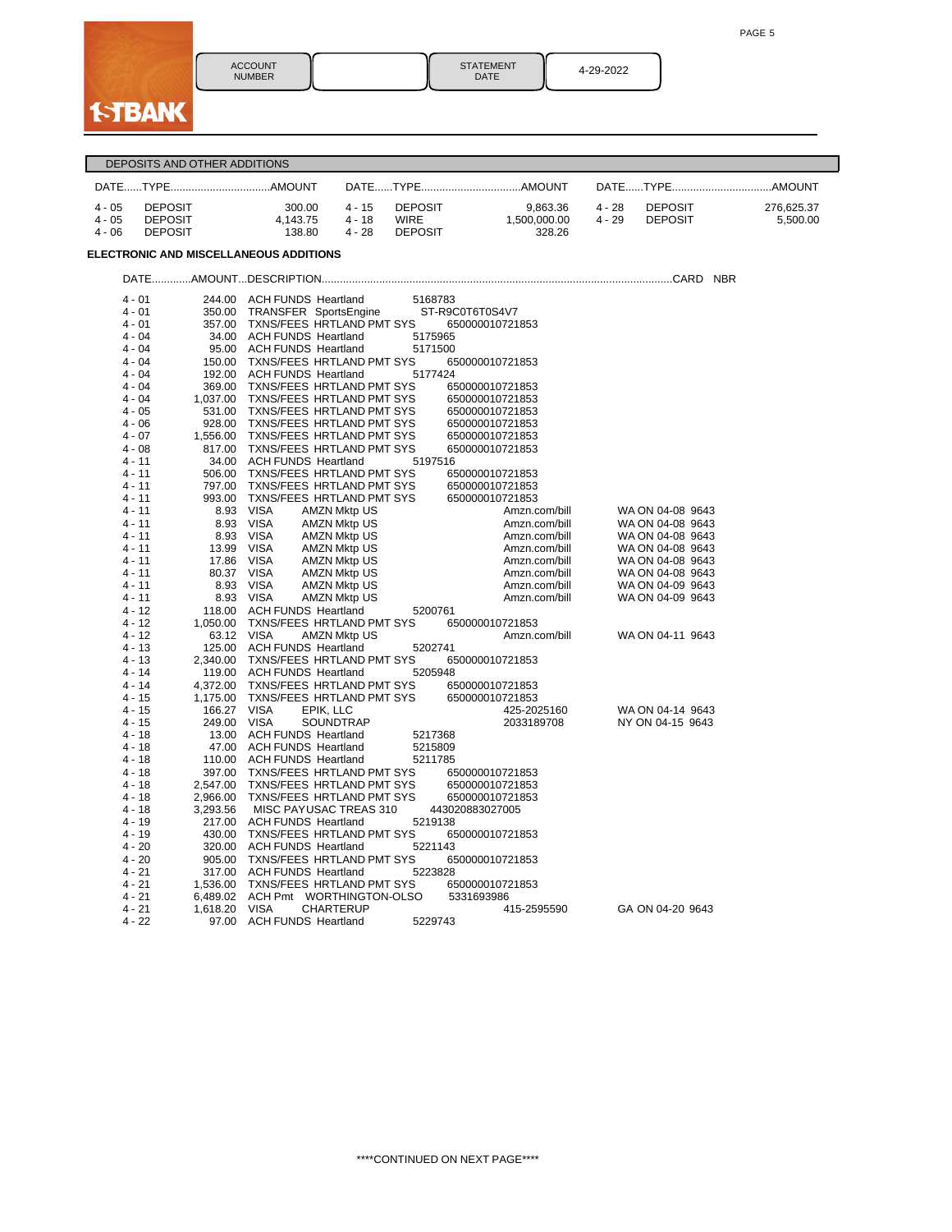PAGE 5



ACCOUNT NUMBER

STATEMENT || 4-29-2022<br>DATE || 4-29-2022

|                      | DEPOSITS AND OTHER ADDITIONS |                                                                        |                         |                                    |               |          |                  |            |
|----------------------|------------------------------|------------------------------------------------------------------------|-------------------------|------------------------------------|---------------|----------|------------------|------------|
|                      |                              |                                                                        |                         |                                    |               |          |                  |            |
| $4 - 05$             | <b>DEPOSIT</b>               | 300.00                                                                 | $4 - 15$                | <b>DEPOSIT</b>                     | 9,863.36      | $4 - 28$ | <b>DEPOSIT</b>   | 276,625.37 |
| $4 - 05$             | <b>DEPOSIT</b>               | 4,143.75                                                               | $4 - 18$<br><b>WIRE</b> |                                    | 1,500,000.00  | $4 - 29$ | <b>DEPOSIT</b>   | 5,500.00   |
| $4 - 06$             | <b>DEPOSIT</b>               | 138.80                                                                 | $4 - 28$                | <b>DEPOSIT</b>                     | 328.26        |          |                  |            |
|                      |                              | ELECTRONIC AND MISCELLANEOUS ADDITIONS                                 |                         |                                    |               |          |                  |            |
|                      |                              |                                                                        |                         |                                    |               |          |                  |            |
| $4 - 01$             |                              | 244.00 ACH FUNDS Heartland                                             |                         | 5168783                            |               |          |                  |            |
| $4 - 01$             | 350.00                       | TRANSFER SportsEngine ST-R9C0T6T0S4V7                                  |                         |                                    |               |          |                  |            |
| $4 - 01$             |                              | 357.00 TXNS/FEES HRTLAND PMT SYS                                       |                         | 650000010721853                    |               |          |                  |            |
| 4 - 04               |                              | 34.00 ACH FUNDS Heartland                                              |                         | 5175965                            |               |          |                  |            |
| 4 - 04               |                              | 95.00 ACH FUNDS Heartland                                              |                         | 5171500                            |               |          |                  |            |
| $4 - 04$             |                              | 150.00 TXNS/FEES HRTLAND PMT SYS                                       |                         | 650000010721853                    |               |          |                  |            |
| $4 - 04$             |                              | 192.00 ACH FUNDS Heartland                                             |                         | 5177424                            |               |          |                  |            |
| $4 - 04$             |                              | 369.00 TXNS/FEES HRTLAND PMT SYS                                       |                         | 650000010721853                    |               |          |                  |            |
| $4 - 04$<br>$4 - 05$ |                              | 1,037.00 TXNS/FEES HRTLAND PMT SYS<br>531.00 TXNS/FEES HRTLAND PMT SYS |                         | 650000010721853<br>650000010721853 |               |          |                  |            |
| 4 - 06               |                              | 928.00 TXNS/FEES HRTLAND PMT SYS                                       |                         | 650000010721853                    |               |          |                  |            |
| $4 - 07$             |                              | 1,556.00 TXNS/FEES HRTLAND PMT SYS                                     |                         | 650000010721853                    |               |          |                  |            |
| $4 - 08$             |                              | 817.00 TXNS/FEES HRTLAND PMT SYS                                       |                         | 650000010721853                    |               |          |                  |            |
| 4 - 11               |                              | 34.00 ACH FUNDS Heartland                                              |                         | 5197516                            |               |          |                  |            |
| $4 - 11$             |                              | 506.00 TXNS/FEES HRTLAND PMT SYS                                       |                         | 650000010721853                    |               |          |                  |            |
| $4 - 11$             | 797.00                       | TXNS/FEES HRTLAND PMT SYS                                              |                         | 650000010721853                    |               |          |                  |            |
| $4 - 11$             | 993.00                       | TXNS/FEES HRTLAND PMT SYS                                              |                         | 650000010721853                    |               |          |                  |            |
| 4 - 11               |                              | 8.93 VISA<br><b>AMZN Mktp US</b>                                       |                         |                                    | Amzn.com/bill |          | WA ON 04-08 9643 |            |
| 4 - 11               | 8.93                         | VISA<br><b>AMZN Mktp US</b>                                            |                         |                                    | Amzn.com/bill |          | WA ON 04-08 9643 |            |
| 4 - 11               | 8.93                         | <b>VISA</b><br><b>AMZN Mktp US</b>                                     |                         |                                    | Amzn.com/bill |          | WA ON 04-08 9643 |            |
| $4 - 11$             | 13.99                        | VISA<br><b>AMZN Mktp US</b>                                            |                         |                                    | Amzn.com/bill |          | WA ON 04-08 9643 |            |
| $4 - 11$             | 17.86                        | <b>VISA</b><br><b>AMZN Mktp US</b>                                     |                         |                                    | Amzn.com/bill |          | WA ON 04-08 9643 |            |
| $4 - 11$             |                              | 80.37 VISA<br><b>AMZN Mktp US</b>                                      |                         |                                    | Amzn.com/bill |          | WA ON 04-08 9643 |            |
| $4 - 11$             |                              | 8.93 VISA<br><b>AMZN Mktp US</b>                                       |                         |                                    | Amzn.com/bill |          | WA ON 04-09 9643 |            |
| 4 - 11               |                              | 8.93 VISA<br><b>AMZN Mktp US</b>                                       |                         |                                    | Amzn.com/bill |          | WA ON 04-09 9643 |            |
| $4 - 12$<br>$4 - 12$ |                              | 118.00 ACH FUNDS Heartland<br>1,050.00 TXNS/FEES HRTLAND PMT SYS       |                         | 5200761<br>650000010721853         |               |          |                  |            |
| $4 - 12$             |                              | 63.12 VISA<br><b>AMZN Mktp US</b>                                      |                         |                                    | Amzn.com/bill |          | WA ON 04-11 9643 |            |
| $4 - 13$             |                              | 125.00 ACH FUNDS Heartland                                             |                         | 5202741                            |               |          |                  |            |
| $4 - 13$             |                              | 2,340.00 TXNS/FEES HRTLAND PMT SYS                                     |                         | 650000010721853                    |               |          |                  |            |
| $4 - 14$             |                              | 119.00 ACH FUNDS Heartland                                             |                         | 5205948                            |               |          |                  |            |
| 4 - 14               | 4,372.00                     | TXNS/FEES HRTLAND PMT SYS                                              |                         | 650000010721853                    |               |          |                  |            |
| $4 - 15$             | 1,175.00                     | TXNS/FEES HRTLAND PMT SYS                                              |                         | 650000010721853                    |               |          |                  |            |
| 4 - 15               | 166.27                       | VISA<br>EPIK, LLC                                                      |                         |                                    | 425-2025160   |          | WA ON 04-14 9643 |            |
| 4 - 15               | 249.00 VISA                  | SOUNDTRAP                                                              |                         |                                    | 2033189708    |          | NY ON 04-15 9643 |            |
| $4 - 18$             |                              | 13.00 ACH FUNDS Heartland                                              |                         | 5217368                            |               |          |                  |            |
| $4 - 18$             |                              | 47.00 ACH FUNDS Heartland                                              |                         | 5215809                            |               |          |                  |            |
| $4 - 18$             |                              | 110.00 ACH FUNDS Heartland                                             |                         | 5211785                            |               |          |                  |            |
| 4 - 18               |                              | 397.00 TXNS/FEES HRTLAND PMT SYS                                       |                         | 650000010721853                    |               |          |                  |            |
| 4 - 18               | 2,547.00                     | TXNS/FEES HRTLAND PMT SYS                                              |                         | 650000010721853                    |               |          |                  |            |
| $4 - 18$             | 2,966.00                     | TXNS/FEES HRTLAND PMT SYS                                              |                         | 650000010721853                    |               |          |                  |            |
| $4 - 18$             | 3,293.56                     | MISC PAYUSAC TREAS 310<br>217.00 ACH FUNDS Heartland                   |                         | 443020883027005                    |               |          |                  |            |
| $4 - 19$<br>$4 - 19$ |                              | 430.00 TXNS/FEES HRTLAND PMT SYS                                       |                         | 5219138<br>650000010721853         |               |          |                  |            |
| $4 - 20$             |                              | 320.00 ACH FUNDS Heartland                                             |                         | 5221143                            |               |          |                  |            |
| 4 - 20               |                              | 905.00 TXNS/FEES HRTLAND PMT SYS                                       |                         | 650000010721853                    |               |          |                  |            |
| 4 - 21               | 317.00                       | <b>ACH FUNDS Heartland</b>                                             |                         | 5223828                            |               |          |                  |            |
| $4 - 21$             | 1,536.00                     | TXNS/FEES HRTLAND PMT SYS                                              |                         | 650000010721853                    |               |          |                  |            |
| $4 - 21$             |                              | 6,489.02 ACH Pmt WORTHINGTON-OLSO                                      |                         | 5331693986                         |               |          |                  |            |
| $4 - 21$             | 1,618.20                     | <b>VISA</b><br><b>CHARTERUP</b>                                        |                         |                                    | 415-2595590   |          | GA ON 04-20 9643 |            |
| $4 - 22$             |                              | 97.00 ACH FUNDS Heartland                                              |                         | 5229743                            |               |          |                  |            |
|                      |                              |                                                                        |                         |                                    |               |          |                  |            |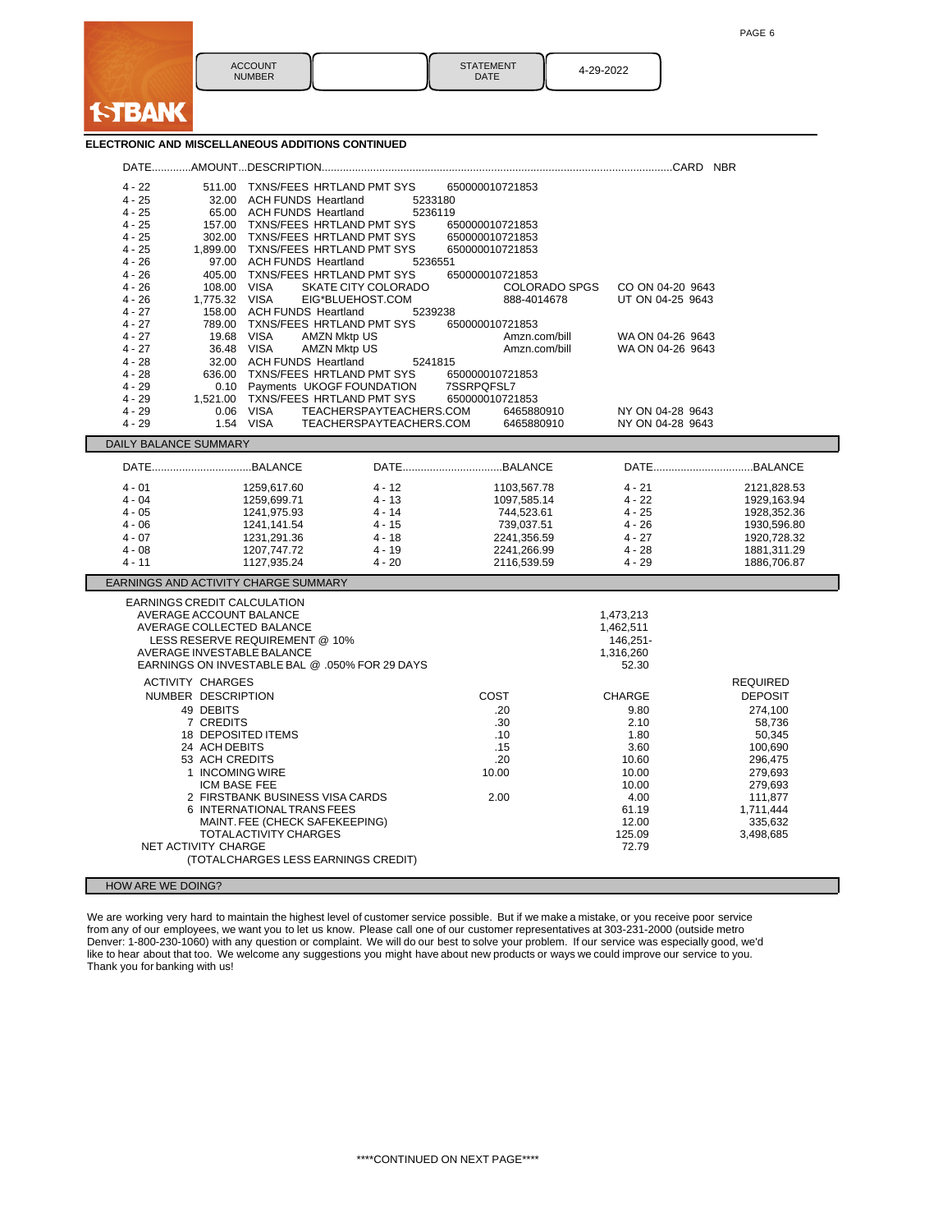| <b>ACCOUNT</b><br><b>NUMBER</b> | <b>STATEMENT</b><br>DATE | 4-29-2022 |
|---------------------------------|--------------------------|-----------|

## **ELECTRONIC AND MISCELLANEOUS ADDITIONS CONTINUED**

**I-TBAN** 

| $4 - 22$                                                                       |                         |                                | 511.00 TXNS/FEES HRTLAND PMT SYS                                     | 650000010721853               |                      |                            |
|--------------------------------------------------------------------------------|-------------------------|--------------------------------|----------------------------------------------------------------------|-------------------------------|----------------------|----------------------------|
| $4 - 25$                                                                       |                         | 32.00 ACH FUNDS Heartland      | 5233180                                                              |                               |                      |                            |
| $4 - 25$                                                                       |                         | 65.00 ACH FUNDS Heartland      | 5236119                                                              |                               |                      |                            |
| $4 - 25$                                                                       |                         |                                | 157.00 TXNS/FEES HRTLAND PMT SYS                                     | 650000010721853               |                      |                            |
| $4 - 25$                                                                       |                         |                                | 302.00 TXNS/FEES HRTLAND PMT SYS                                     | 650000010721853               |                      |                            |
| $4 - 25$                                                                       |                         |                                | 1,899.00 TXNS/FEES HRTLAND PMT SYS                                   | 650000010721853               |                      |                            |
| $4 - 26$<br>$4 - 26$                                                           |                         | 97.00 ACH FUNDS Heartland      | 5236551<br>405.00 TXNS/FEES HRTLAND PMT SYS                          | 650000010721853               |                      |                            |
| $4 - 26$                                                                       | 108.00 VISA             |                                | SKATE CITY COLORADO                                                  | <b>COLORADO SPGS</b>          | CO ON 04-20 9643     |                            |
| $4 - 26$                                                                       | 1.775.32 VISA           |                                | EIG*BLUEHOST.COM                                                     | 888-4014678                   | UT ON 04-25 9643     |                            |
| 4 - 27                                                                         |                         | 158.00 ACH FUNDS Heartland     | 5239238                                                              |                               |                      |                            |
| $4 - 27$                                                                       |                         |                                | 789.00 TXNS/FEES HRTLAND PMT SYS                                     | 650000010721853               |                      |                            |
| $4 - 27$                                                                       | 19.68 VISA              |                                | <b>AMZN Mktp US</b>                                                  | Amzn.com/bill                 | WA ON 04-26 9643     |                            |
| $4 - 27$                                                                       |                         | 36.48 VISA                     | <b>AMZN Mktp US</b>                                                  | Amzn.com/bill                 | WA ON 04-26 9643     |                            |
| $4 - 28$                                                                       |                         | 32.00 ACH FUNDS Heartland      | 5241815                                                              |                               |                      |                            |
| $4 - 28$                                                                       |                         |                                | 636.00 TXNS/FEES HRTLAND PMT SYS                                     | 650000010721853               |                      |                            |
| $4 - 29$<br>$4 - 29$                                                           |                         |                                | 0.10 Payments UKOGF FOUNDATION<br>1,521.00 TXNS/FEES HRTLAND PMT SYS | 7SSRPQFSL7<br>650000010721853 |                      |                            |
| $4 - 29$                                                                       |                         | 0.06 VISA                      | TEACHERSPAYTEACHERS.COM                                              | 6465880910                    | NY ON 04-28 9643     |                            |
| $4 - 29$                                                                       |                         | 1.54 VISA                      | TEACHERSPAYTEACHERS.COM                                              | 6465880910                    | NY ON 04-28 9643     |                            |
| DAILY BALANCE SUMMARY                                                          |                         |                                |                                                                      |                               |                      |                            |
|                                                                                |                         |                                |                                                                      |                               |                      |                            |
|                                                                                |                         |                                |                                                                      |                               |                      |                            |
| $4 - 01$                                                                       |                         | 1259,617.60                    | $4 - 12$                                                             | 1103,567.78                   | $4 - 21$             | 2121,828.53                |
| $4 - 04$<br>$4 - 05$                                                           |                         | 1259,699.71                    | $4 - 13$<br>$4 - 14$                                                 | 1097,585.14                   | $4 - 22$<br>$4 - 25$ | 1929,163.94                |
| $4 - 06$                                                                       |                         | 1241,975.93<br>1241,141.54     | $4 - 15$                                                             | 744,523.61<br>739,037.51      | $4 - 26$             | 1928,352.36<br>1930,596.80 |
| $4 - 07$                                                                       |                         | 1231,291.36                    | $4 - 18$                                                             | 2241,356.59                   | $4 - 27$             | 1920,728.32                |
| $4 - 08$                                                                       |                         | 1207,747.72                    | $4 - 19$                                                             | 2241,266.99                   | $4 - 28$             | 1881,311.29                |
| 4 - 11                                                                         |                         | 1127,935.24                    | $4 - 20$                                                             | 2116,539.59                   | $4 - 29$             | 1886,706.87                |
| EARNINGS AND ACTIVITY CHARGE SUMMARY                                           |                         |                                |                                                                      |                               |                      |                            |
| EARNINGS CREDIT CALCULATION                                                    |                         |                                |                                                                      |                               |                      |                            |
|                                                                                |                         | AVERAGE ACCOUNT BALANCE        |                                                                      |                               | 1,473,213            |                            |
|                                                                                |                         | AVERAGE COLLECTED BALANCE      |                                                                      |                               | 1,462,511            |                            |
|                                                                                |                         | LESS RESERVE REQUIREMENT @ 10% |                                                                      |                               | 146,251-             |                            |
|                                                                                |                         | AVERAGE INVESTABLE BALANCE     |                                                                      |                               | 1,316,260            |                            |
|                                                                                |                         |                                | EARNINGS ON INVESTABLE BAL @ .050% FOR 29 DAYS                       |                               | 52.30                |                            |
|                                                                                | <b>ACTIVITY CHARGES</b> |                                |                                                                      |                               |                      | <b>REQUIRED</b>            |
|                                                                                | NUMBER DESCRIPTION      |                                |                                                                      | COST                          | CHARGE               | <b>DEPOSIT</b>             |
|                                                                                | 49 DEBITS               |                                |                                                                      | .20                           | 9.80                 | 274,100                    |
|                                                                                | 7 CREDITS               |                                |                                                                      | .30                           | 2.10                 | 58,736                     |
|                                                                                |                         | 18 DEPOSITED ITEMS             |                                                                      | .10                           | 1.80                 | 50,345                     |
|                                                                                | 24 ACH DEBITS           |                                |                                                                      | .15                           | 3.60                 | 100,690                    |
|                                                                                | 53 ACH CREDITS          |                                |                                                                      | .20                           | 10.60                | 296,475                    |
|                                                                                | 1 INCOMING WIRE         |                                |                                                                      | 10.00                         | 10.00                | 279,693                    |
|                                                                                | ICM BASE FEE            |                                | 2 FIRSTBANK BUSINESS VISA CARDS                                      | 2.00                          | 10.00<br>4.00        | 279,693<br>111,877         |
|                                                                                |                         | 6 INTERNATIONAL TRANS FEES     |                                                                      |                               | 61.19                | 1,711,444                  |
|                                                                                |                         |                                |                                                                      |                               | 12.00                | 335.632                    |
| MAINT. FEE (CHECK SAFEKEEPING)<br>TOTALACTIVITY CHARGES<br>125.09<br>3,498,685 |                         |                                |                                                                      |                               |                      |                            |
|                                                                                | NET ACTIVITY CHARGE     |                                |                                                                      |                               | 72.79                |                            |
|                                                                                |                         |                                | (TOTALCHARGES LESS EARNINGS CREDIT)                                  |                               |                      |                            |
| HOW ARE WE DOING?                                                              |                         |                                |                                                                      |                               |                      |                            |
|                                                                                |                         |                                |                                                                      |                               |                      |                            |

We are working very hard to maintain the highest level of customer service possible. But if we make a mistake, or you receive poor service from any of our employees, we want you to let us know. Please call one of our customer representatives at 303-231-2000 (outside metro Denver: 1-800-230-1060) with any question or complaint. We will do our best to solve your problem. If our service was especially good, we'd like to hear about that too. We welcome any suggestions you might have about new products or ways we could improve our service to you. Thank you for banking with us!